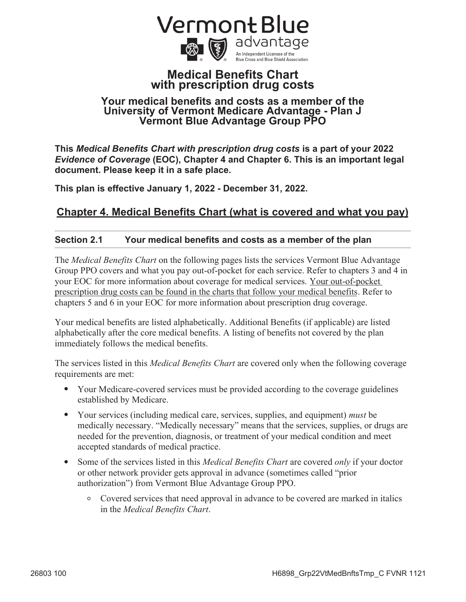

## **Medical Benefits Chart with prescription drug costs**

## **Your medical benefits and costs as a member of the University of Vermont Medicare Advantage - Plan J Vermont Blue Advantage Group PPO**

**This** *Medical Benefits Chart with prescription drug costs* **is a part of your 2022**  *Evidence of Coverage* **(EOC), Chapter 4 and Chapter 6. This is an important legal document. Please keep it in a safe place.** 

**This plan is effective January 1, 2022 - December 31, 2022.** 

# **Chapter 4. Medical Benefits Chart (what is covered and what you pay)**

## **Section 2.1 Your medical benefits and costs as a member of the plan**

The *Medical Benefits Chart* on the following pages lists the services Vermont Blue Advantage Group PPO covers and what you pay out-of-pocket for each service. Refer to chapters 3 and 4 in your EOC for more information about coverage for medical services. Your out-of-pocket prescription drug costs can be found in the charts that follow your medical benefits. Refer to chapters 5 and 6 in your EOC for more information about prescription drug coverage.

Your medical benefits are listed alphabetically. Additional Benefits (if applicable) are listed alphabetically after the core medical benefits. A listing of benefits not covered by the plan immediately follows the medical benefits.

The services listed in this *Medical Benefits Chart* are covered only when the following coverage requirements are met:

- Your Medicare-covered services must be provided according to the coverage guidelines established by Medicare.
- Your services (including medical care, services, supplies, and equipment) *must* be medically necessary. "Medically necessary" means that the services, supplies, or drugs are needed for the prevention, diagnosis, or treatment of your medical condition and meet accepted standards of medical practice.
- Some of the services listed in this *Medical Benefits Chart* are covered *only* if your doctor or other network provider gets approval in advance (sometimes called "prior authorization") from Vermont Blue Advantage Group PPO.
	- Covered services that need approval in advance to be covered are marked in italics in the *Medical Benefits Chart*.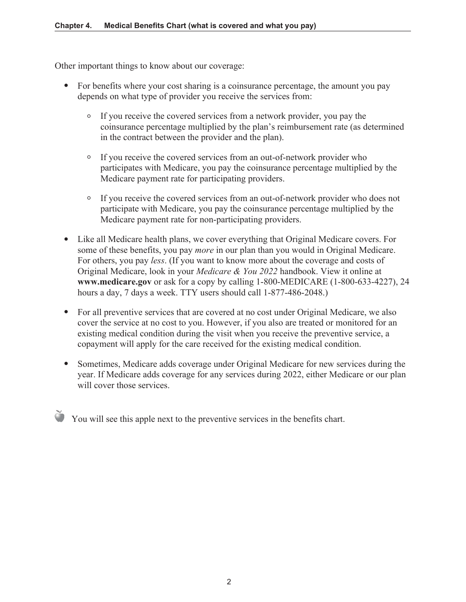Other important things to know about our coverage:

- For benefits where your cost sharing is a coinsurance percentage, the amount you pay depends on what type of provider you receive the services from:
	- If you receive the covered services from a network provider, you pay the coinsurance percentage multiplied by the plan's reimbursement rate (as determined in the contract between the provider and the plan).
	- If you receive the covered services from an out-of-network provider who participates with Medicare, you pay the coinsurance percentage multiplied by the Medicare payment rate for participating providers.
	- If you receive the covered services from an out-of-network provider who does not participate with Medicare, you pay the coinsurance percentage multiplied by the Medicare payment rate for non-participating providers.
- Like all Medicare health plans, we cover everything that Original Medicare covers. For some of these benefits, you pay *more* in our plan than you would in Original Medicare. For others, you pay *less*. (If you want to know more about the coverage and costs of Original Medicare, look in your *Medicare & You 2022* handbook. View it online at **www.medicare.gov** or ask for a copy by calling 1-800-MEDICARE (1-800-633-4227), 24 hours a day, 7 days a week. TTY users should call 1-877-486-2048.)
- For all preventive services that are covered at no cost under Original Medicare, we also cover the service at no cost to you. However, if you also are treated or monitored for an existing medical condition during the visit when you receive the preventive service, a copayment will apply for the care received for the existing medical condition.
- Sometimes, Medicare adds coverage under Original Medicare for new services during the year. If Medicare adds coverage for any services during 2022, either Medicare or our plan will cover those services.

 $\bullet$  You will see this apple next to the preventive services in the benefits chart.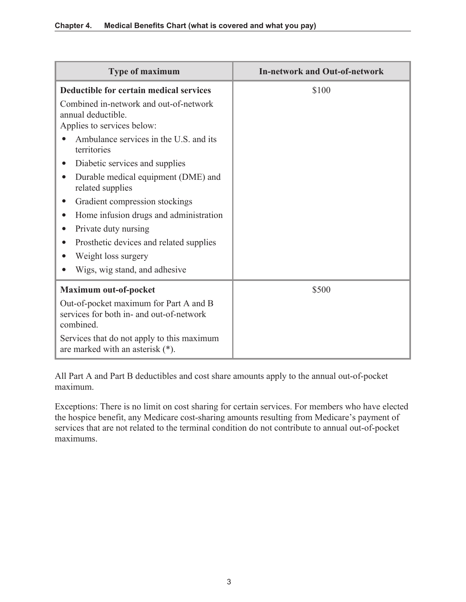| <b>Type of maximum</b>                                                                          | <b>In-network and Out-of-network</b> |
|-------------------------------------------------------------------------------------------------|--------------------------------------|
| Deductible for certain medical services                                                         | \$100                                |
| Combined in-network and out-of-network<br>annual deductible.<br>Applies to services below:      |                                      |
| Ambulance services in the U.S. and its<br>territories                                           |                                      |
| Diabetic services and supplies                                                                  |                                      |
| Durable medical equipment (DME) and<br>related supplies                                         |                                      |
| Gradient compression stockings                                                                  |                                      |
| Home infusion drugs and administration                                                          |                                      |
| Private duty nursing                                                                            |                                      |
| Prosthetic devices and related supplies                                                         |                                      |
| Weight loss surgery                                                                             |                                      |
| Wigs, wig stand, and adhesive                                                                   |                                      |
| Maximum out-of-pocket                                                                           | \$500                                |
| Out-of-pocket maximum for Part A and B<br>services for both in- and out-of-network<br>combined. |                                      |
| Services that do not apply to this maximum<br>are marked with an asterisk $(*)$ .               |                                      |

All Part A and Part B deductibles and cost share amounts apply to the annual out-of-pocket maximum.

Exceptions: There is no limit on cost sharing for certain services. For members who have elected the hospice benefit, any Medicare cost-sharing amounts resulting from Medicare's payment of services that are not related to the terminal condition do not contribute to annual out-of-pocket maximums.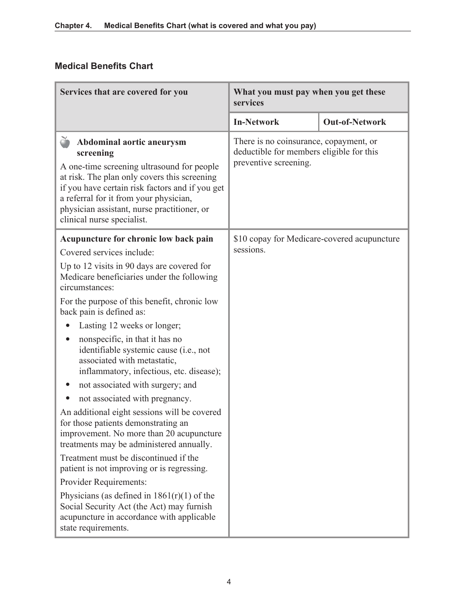# **Medical Benefits Chart**

| Services that are covered for you                                                                                                                                                                                                                                                                                                                                                                                                                                                                                                                                                                                                                                                                                                                                                                                                                                                                                                                                   | What you must pay when you get these<br>services                                                            |                       |
|---------------------------------------------------------------------------------------------------------------------------------------------------------------------------------------------------------------------------------------------------------------------------------------------------------------------------------------------------------------------------------------------------------------------------------------------------------------------------------------------------------------------------------------------------------------------------------------------------------------------------------------------------------------------------------------------------------------------------------------------------------------------------------------------------------------------------------------------------------------------------------------------------------------------------------------------------------------------|-------------------------------------------------------------------------------------------------------------|-----------------------|
|                                                                                                                                                                                                                                                                                                                                                                                                                                                                                                                                                                                                                                                                                                                                                                                                                                                                                                                                                                     | <b>In-Network</b>                                                                                           | <b>Out-of-Network</b> |
| ð<br>Abdominal aortic aneurysm<br>screening<br>A one-time screening ultrasound for people<br>at risk. The plan only covers this screening<br>if you have certain risk factors and if you get<br>a referral for it from your physician,<br>physician assistant, nurse practitioner, or<br>clinical nurse specialist.                                                                                                                                                                                                                                                                                                                                                                                                                                                                                                                                                                                                                                                 | There is no coinsurance, copayment, or<br>deductible for members eligible for this<br>preventive screening. |                       |
| Acupuncture for chronic low back pain<br>Covered services include:<br>Up to 12 visits in 90 days are covered for<br>Medicare beneficiaries under the following<br>circumstances:<br>For the purpose of this benefit, chronic low<br>back pain is defined as:<br>Lasting 12 weeks or longer;<br>nonspecific, in that it has no<br>identifiable systemic cause (i.e., not<br>associated with metastatic,<br>inflammatory, infectious, etc. disease);<br>not associated with surgery; and<br>not associated with pregnancy.<br>An additional eight sessions will be covered<br>for those patients demonstrating an<br>improvement. No more than 20 acupuncture<br>treatments may be administered annually.<br>Treatment must be discontinued if the<br>patient is not improving or is regressing.<br>Provider Requirements:<br>Physicians (as defined in $1861(r)(1)$ of the<br>Social Security Act (the Act) may furnish<br>acupuncture in accordance with applicable | \$10 copay for Medicare-covered acupuncture<br>sessions.                                                    |                       |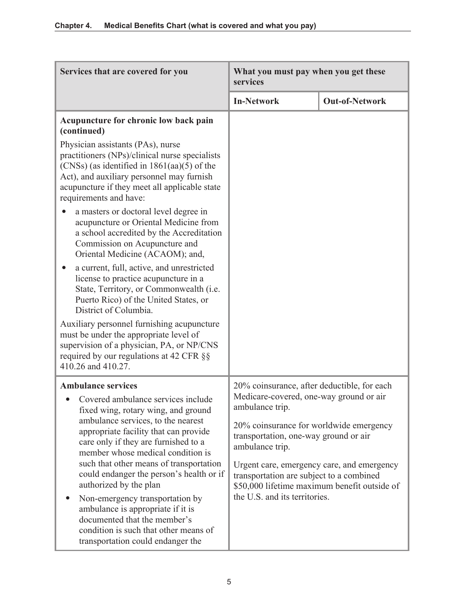| Services that are covered for you                                                                                                                                                                                                                            | What you must pay when you get these<br>services                                                                                       |                       |
|--------------------------------------------------------------------------------------------------------------------------------------------------------------------------------------------------------------------------------------------------------------|----------------------------------------------------------------------------------------------------------------------------------------|-----------------------|
|                                                                                                                                                                                                                                                              | <b>In-Network</b>                                                                                                                      | <b>Out-of-Network</b> |
| Acupuncture for chronic low back pain<br>(continued)                                                                                                                                                                                                         |                                                                                                                                        |                       |
| Physician assistants (PAs), nurse<br>practitioners (NPs)/clinical nurse specialists<br>$(CNSs)$ (as identified in 1861(aa)(5) of the<br>Act), and auxiliary personnel may furnish<br>acupuncture if they meet all applicable state<br>requirements and have: |                                                                                                                                        |                       |
| a masters or doctoral level degree in<br>acupuncture or Oriental Medicine from<br>a school accredited by the Accreditation<br>Commission on Acupuncture and<br>Oriental Medicine (ACAOM); and,                                                               |                                                                                                                                        |                       |
| a current, full, active, and unrestricted<br>license to practice acupuncture in a<br>State, Territory, or Commonwealth (i.e.<br>Puerto Rico) of the United States, or<br>District of Columbia.                                                               |                                                                                                                                        |                       |
| Auxiliary personnel furnishing acupuncture<br>must be under the appropriate level of<br>supervision of a physician, PA, or NP/CNS<br>required by our regulations at 42 CFR §§<br>410.26 and 410.27.                                                          |                                                                                                                                        |                       |
| <b>Ambulance services</b>                                                                                                                                                                                                                                    | 20% coinsurance, after deductible, for each                                                                                            |                       |
| Covered ambulance services include<br>fixed wing, rotary wing, and ground                                                                                                                                                                                    | Medicare-covered, one-way ground or air<br>ambulance trip.                                                                             |                       |
| ambulance services, to the nearest<br>appropriate facility that can provide<br>care only if they are furnished to a<br>member whose medical condition is                                                                                                     | 20% coinsurance for worldwide emergency<br>transportation, one-way ground or air<br>ambulance trip.                                    |                       |
| such that other means of transportation<br>could endanger the person's health or if<br>authorized by the plan                                                                                                                                                | Urgent care, emergency care, and emergency<br>transportation are subject to a combined<br>\$50,000 lifetime maximum benefit outside of |                       |
| Non-emergency transportation by<br>ambulance is appropriate if it is<br>documented that the member's<br>condition is such that other means of<br>transportation could endanger the                                                                           | the U.S. and its territories.                                                                                                          |                       |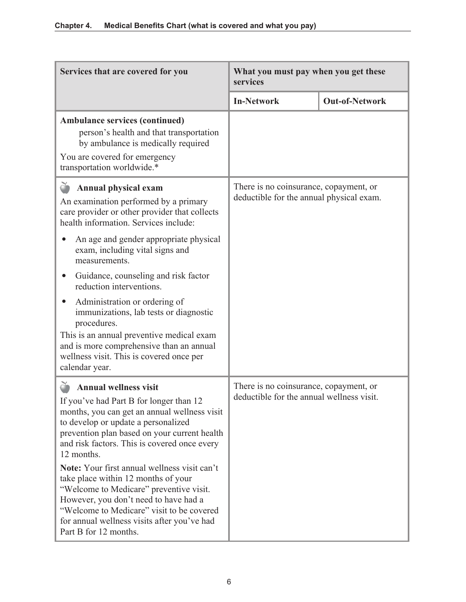| Services that are covered for you                                                                                                                                                                                                                                                                                                                                                                                                                                                                                                                                                 | What you must pay when you get these<br>services                                    |                       |
|-----------------------------------------------------------------------------------------------------------------------------------------------------------------------------------------------------------------------------------------------------------------------------------------------------------------------------------------------------------------------------------------------------------------------------------------------------------------------------------------------------------------------------------------------------------------------------------|-------------------------------------------------------------------------------------|-----------------------|
|                                                                                                                                                                                                                                                                                                                                                                                                                                                                                                                                                                                   | <b>In-Network</b>                                                                   | <b>Out-of-Network</b> |
| <b>Ambulance services (continued)</b><br>person's health and that transportation<br>by ambulance is medically required<br>You are covered for emergency<br>transportation worldwide.*                                                                                                                                                                                                                                                                                                                                                                                             |                                                                                     |                       |
| <b>Annual physical exam</b><br>An examination performed by a primary<br>care provider or other provider that collects<br>health information. Services include:<br>An age and gender appropriate physical<br>exam, including vital signs and<br>measurements.<br>Guidance, counseling and risk factor<br>reduction interventions.<br>Administration or ordering of<br>immunizations, lab tests or diagnostic<br>procedures.<br>This is an annual preventive medical exam<br>and is more comprehensive than an annual<br>wellness visit. This is covered once per<br>calendar year. | There is no coinsurance, copayment, or<br>deductible for the annual physical exam.  |                       |
| <b>Annual wellness visit</b><br>If you've had Part B for longer than 12<br>months, you can get an annual wellness visit<br>to develop or update a personalized<br>prevention plan based on your current health<br>and risk factors. This is covered once every<br>12 months.<br>Note: Your first annual wellness visit can't<br>take place within 12 months of your<br>"Welcome to Medicare" preventive visit.<br>However, you don't need to have had a<br>"Welcome to Medicare" visit to be covered<br>for annual wellness visits after you've had<br>Part B for 12 months.      | There is no coinsurance, copayment, or<br>deductible for the annual wellness visit. |                       |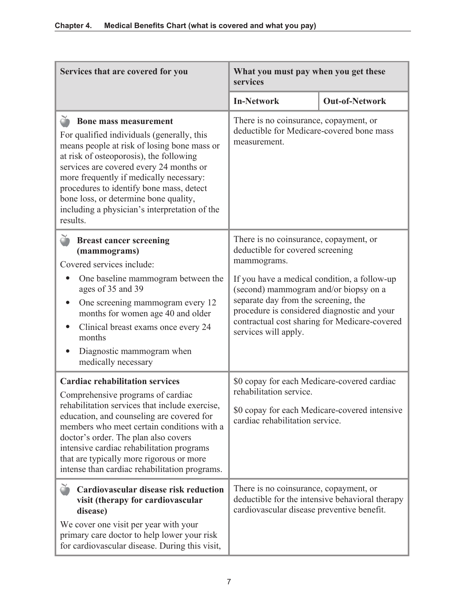| Services that are covered for you                                                                                                                                                                                                                                                                                                                                                                            | What you must pay when you get these<br>services                                                                                                                                                                                                      |  |
|--------------------------------------------------------------------------------------------------------------------------------------------------------------------------------------------------------------------------------------------------------------------------------------------------------------------------------------------------------------------------------------------------------------|-------------------------------------------------------------------------------------------------------------------------------------------------------------------------------------------------------------------------------------------------------|--|
|                                                                                                                                                                                                                                                                                                                                                                                                              | <b>Out-of-Network</b><br><b>In-Network</b>                                                                                                                                                                                                            |  |
| <b>Bone mass measurement</b><br>For qualified individuals (generally, this<br>means people at risk of losing bone mass or<br>at risk of osteoporosis), the following<br>services are covered every 24 months or<br>more frequently if medically necessary:<br>procedures to identify bone mass, detect<br>bone loss, or determine bone quality,<br>including a physician's interpretation of the<br>results. | There is no coinsurance, copayment, or<br>deductible for Medicare-covered bone mass<br>measurement.                                                                                                                                                   |  |
| <b>Breast cancer screening</b><br>(mammograms)<br>Covered services include:                                                                                                                                                                                                                                                                                                                                  | There is no coinsurance, copayment, or<br>deductible for covered screening<br>mammograms.                                                                                                                                                             |  |
| One baseline mammogram between the<br>ages of 35 and 39<br>One screening mammogram every 12<br>months for women age 40 and older<br>Clinical breast exams once every 24<br>months<br>Diagnostic mammogram when<br>medically necessary                                                                                                                                                                        | If you have a medical condition, a follow-up<br>(second) mammogram and/or biopsy on a<br>separate day from the screening, the<br>procedure is considered diagnostic and your<br>contractual cost sharing for Medicare-covered<br>services will apply. |  |
| <b>Cardiac rehabilitation services</b><br>Comprehensive programs of cardiac<br>rehabilitation services that include exercise,<br>education, and counseling are covered for<br>members who meet certain conditions with a<br>doctor's order. The plan also covers<br>intensive cardiac rehabilitation programs<br>that are typically more rigorous or more<br>intense than cardiac rehabilitation programs.   | \$0 copay for each Medicare-covered cardiac<br>rehabilitation service.<br>\$0 copay for each Medicare-covered intensive<br>cardiac rehabilitation service.                                                                                            |  |
| Cardiovascular disease risk reduction<br>visit (therapy for cardiovascular<br>disease)<br>We cover one visit per year with your<br>primary care doctor to help lower your risk<br>for cardiovascular disease. During this visit,                                                                                                                                                                             | There is no coinsurance, copayment, or<br>deductible for the intensive behavioral therapy<br>cardiovascular disease preventive benefit.                                                                                                               |  |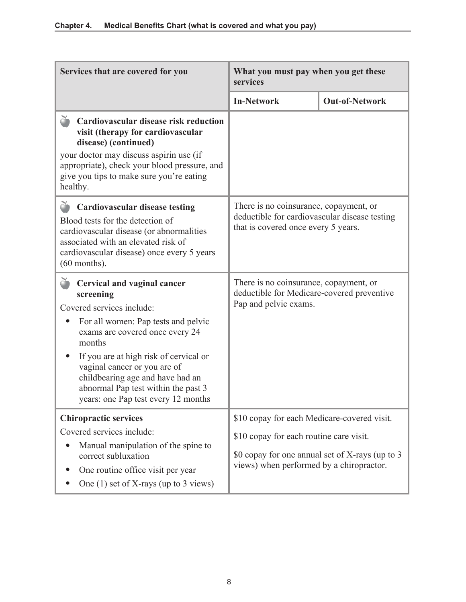| Services that are covered for you                                                                                                                                                                                                                                                                                                                                         | What you must pay when you get these<br>services                                                                                                                                      |                       |
|---------------------------------------------------------------------------------------------------------------------------------------------------------------------------------------------------------------------------------------------------------------------------------------------------------------------------------------------------------------------------|---------------------------------------------------------------------------------------------------------------------------------------------------------------------------------------|-----------------------|
|                                                                                                                                                                                                                                                                                                                                                                           | <b>In-Network</b>                                                                                                                                                                     | <b>Out-of-Network</b> |
| č<br>Cardiovascular disease risk reduction<br>visit (therapy for cardiovascular<br>disease) (continued)<br>your doctor may discuss aspirin use (if<br>appropriate), check your blood pressure, and<br>give you tips to make sure you're eating<br>healthy.                                                                                                                |                                                                                                                                                                                       |                       |
| <b>Cardiovascular disease testing</b><br>Blood tests for the detection of<br>cardiovascular disease (or abnormalities<br>associated with an elevated risk of<br>cardiovascular disease) once every 5 years<br>$(60$ months).                                                                                                                                              | There is no coinsurance, copayment, or<br>deductible for cardiovascular disease testing<br>that is covered once every 5 years.                                                        |                       |
| <b>Cervical and vaginal cancer</b><br>screening<br>Covered services include:<br>For all women: Pap tests and pelvic<br>exams are covered once every 24<br>months<br>If you are at high risk of cervical or<br>$\bullet$<br>vaginal cancer or you are of<br>childbearing age and have had an<br>abnormal Pap test within the past 3<br>years: one Pap test every 12 months | There is no coinsurance, copayment, or<br>deductible for Medicare-covered preventive<br>Pap and pelvic exams.                                                                         |                       |
| <b>Chiropractic services</b><br>Covered services include:<br>Manual manipulation of the spine to<br>correct subluxation<br>One routine office visit per year<br>One $(1)$ set of X-rays (up to 3 views)                                                                                                                                                                   | \$10 copay for each Medicare-covered visit.<br>\$10 copay for each routine care visit.<br>\$0 copay for one annual set of X-rays (up to 3<br>views) when performed by a chiropractor. |                       |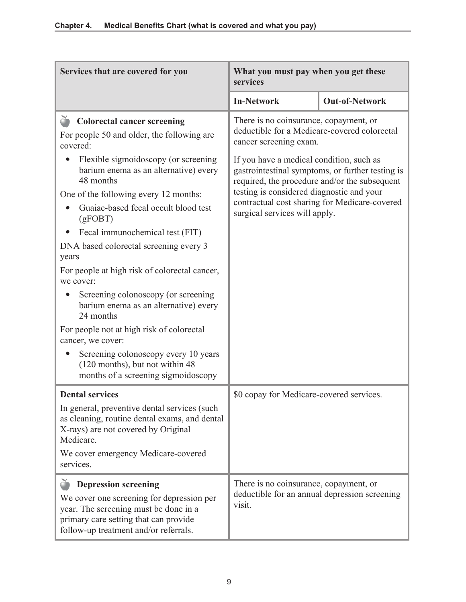| Services that are covered for you                                                                                                                                                                   | What you must pay when you get these<br>services                                                                                                                                                                                                                             |                       |
|-----------------------------------------------------------------------------------------------------------------------------------------------------------------------------------------------------|------------------------------------------------------------------------------------------------------------------------------------------------------------------------------------------------------------------------------------------------------------------------------|-----------------------|
|                                                                                                                                                                                                     | <b>In-Network</b>                                                                                                                                                                                                                                                            | <b>Out-of-Network</b> |
| Colorectal cancer screening<br>For people 50 and older, the following are<br>covered:                                                                                                               | There is no coinsurance, copayment, or<br>deductible for a Medicare-covered colorectal<br>cancer screening exam.                                                                                                                                                             |                       |
| Flexible sigmoidoscopy (or screening<br>barium enema as an alternative) every<br>48 months                                                                                                          | If you have a medical condition, such as<br>gastrointestinal symptoms, or further testing is<br>required, the procedure and/or the subsequent<br>testing is considered diagnostic and your<br>contractual cost sharing for Medicare-covered<br>surgical services will apply. |                       |
| One of the following every 12 months:<br>Guaiac-based fecal occult blood test<br>(gFOBT)                                                                                                            |                                                                                                                                                                                                                                                                              |                       |
| Fecal immunochemical test (FIT)<br>DNA based colorectal screening every 3<br>years                                                                                                                  |                                                                                                                                                                                                                                                                              |                       |
| For people at high risk of colorectal cancer,<br>we cover:                                                                                                                                          |                                                                                                                                                                                                                                                                              |                       |
| Screening colonoscopy (or screening<br>barium enema as an alternative) every<br>24 months                                                                                                           |                                                                                                                                                                                                                                                                              |                       |
| For people not at high risk of colorectal<br>cancer, we cover:                                                                                                                                      |                                                                                                                                                                                                                                                                              |                       |
| Screening colonoscopy every 10 years<br>$\bullet$<br>(120 months), but not within 48<br>months of a screening sigmoidoscopy                                                                         |                                                                                                                                                                                                                                                                              |                       |
| <b>Dental services</b>                                                                                                                                                                              | \$0 copay for Medicare-covered services.                                                                                                                                                                                                                                     |                       |
| In general, preventive dental services (such<br>as cleaning, routine dental exams, and dental<br>X-rays) are not covered by Original<br>Medicare.                                                   |                                                                                                                                                                                                                                                                              |                       |
| We cover emergency Medicare-covered<br>services.                                                                                                                                                    |                                                                                                                                                                                                                                                                              |                       |
| <b>Depression screening</b><br>We cover one screening for depression per<br>year. The screening must be done in a<br>primary care setting that can provide<br>follow-up treatment and/or referrals. | There is no coinsurance, copayment, or<br>deductible for an annual depression screening<br>visit.                                                                                                                                                                            |                       |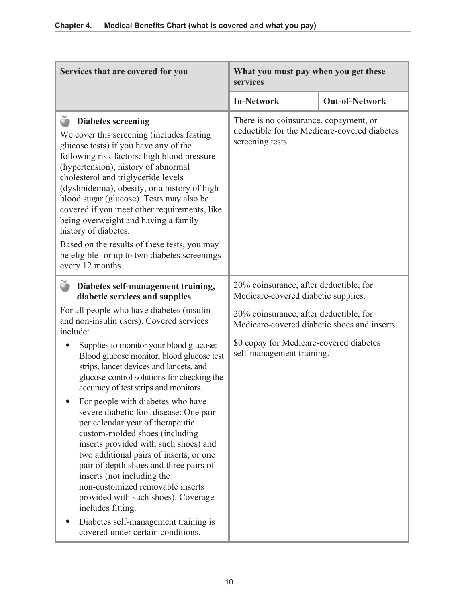| Services that are covered for you                                                                                                                                                                                                                                                                                                                                                                                                                                                                                                                                                   | What you must pay when you get these<br>services                                                           |                       |
|-------------------------------------------------------------------------------------------------------------------------------------------------------------------------------------------------------------------------------------------------------------------------------------------------------------------------------------------------------------------------------------------------------------------------------------------------------------------------------------------------------------------------------------------------------------------------------------|------------------------------------------------------------------------------------------------------------|-----------------------|
|                                                                                                                                                                                                                                                                                                                                                                                                                                                                                                                                                                                     | <b>In-Network</b>                                                                                          | <b>Out-of-Network</b> |
| ð<br><b>Diabetes screening</b><br>We cover this screening (includes fasting<br>glucose tests) if you have any of the<br>following risk factors: high blood pressure<br>(hypertension), history of abnormal<br>cholesterol and triglyceride levels<br>(dyslipidemia), obesity, or a history of high<br>blood sugar (glucose). Tests may also be<br>covered if you meet other requirements, like<br>being overweight and having a family<br>history of diabetes.<br>Based on the results of these tests, you may<br>be eligible for up to two diabetes screenings<br>every 12 months. | There is no coinsurance, copayment, or<br>deductible for the Medicare-covered diabetes<br>screening tests. |                       |
| Ŏ<br>Diabetes self-management training,<br>diabetic services and supplies                                                                                                                                                                                                                                                                                                                                                                                                                                                                                                           | 20% coinsurance, after deductible, for<br>Medicare-covered diabetic supplies.                              |                       |
| For all people who have diabetes (insulin<br>and non-insulin users). Covered services<br>include:                                                                                                                                                                                                                                                                                                                                                                                                                                                                                   | 20% coinsurance, after deductible, for<br>Medicare-covered diabetic shoes and inserts.                     |                       |
| Supplies to monitor your blood glucose:<br>Blood glucose monitor, blood glucose test<br>strips, lancet devices and lancets, and<br>glucose-control solutions for checking the<br>accuracy of test strips and monitors.                                                                                                                                                                                                                                                                                                                                                              | \$0 copay for Medicare-covered diabetes<br>self-management training.                                       |                       |
| For people with diabetes who have<br>severe diabetic foot disease: One pair<br>per calendar year of therapeutic<br>custom-molded shoes (including<br>inserts provided with such shoes) and<br>two additional pairs of inserts, or one<br>pair of depth shoes and three pairs of<br>inserts (not including the<br>non-customized removable inserts<br>provided with such shoes). Coverage<br>includes fitting.                                                                                                                                                                       |                                                                                                            |                       |
| Diabetes self-management training is<br>covered under certain conditions.                                                                                                                                                                                                                                                                                                                                                                                                                                                                                                           |                                                                                                            |                       |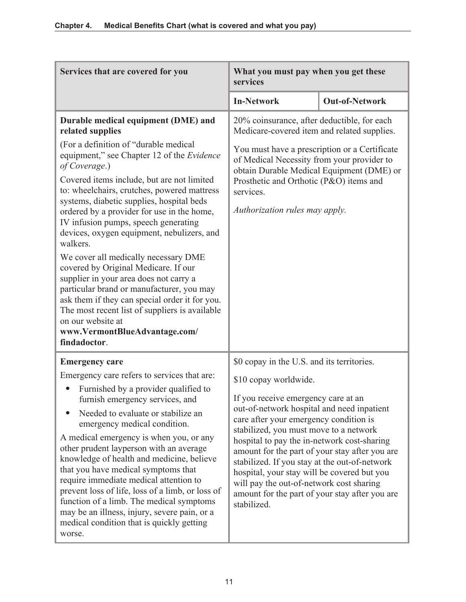| Services that are covered for you                                                                                                                                                                                                                                                                                                                                                                                                                                                                                                                                                                                                                                                                                                                                                                          | What you must pay when you get these<br>services                                                                                                                                                                                                                                                                                                                                                                                                                                                                                                           |                       |
|------------------------------------------------------------------------------------------------------------------------------------------------------------------------------------------------------------------------------------------------------------------------------------------------------------------------------------------------------------------------------------------------------------------------------------------------------------------------------------------------------------------------------------------------------------------------------------------------------------------------------------------------------------------------------------------------------------------------------------------------------------------------------------------------------------|------------------------------------------------------------------------------------------------------------------------------------------------------------------------------------------------------------------------------------------------------------------------------------------------------------------------------------------------------------------------------------------------------------------------------------------------------------------------------------------------------------------------------------------------------------|-----------------------|
|                                                                                                                                                                                                                                                                                                                                                                                                                                                                                                                                                                                                                                                                                                                                                                                                            | <b>In-Network</b>                                                                                                                                                                                                                                                                                                                                                                                                                                                                                                                                          | <b>Out-of-Network</b> |
| Durable medical equipment (DME) and<br>related supplies<br>(For a definition of "durable medical<br>equipment," see Chapter 12 of the Evidence<br>of Coverage.)<br>Covered items include, but are not limited<br>to: wheelchairs, crutches, powered mattress<br>systems, diabetic supplies, hospital beds<br>ordered by a provider for use in the home,<br>IV infusion pumps, speech generating<br>devices, oxygen equipment, nebulizers, and<br>walkers.<br>We cover all medically necessary DME<br>covered by Original Medicare. If our<br>supplier in your area does not carry a<br>particular brand or manufacturer, you may<br>ask them if they can special order it for you.<br>The most recent list of suppliers is available<br>on our website at<br>www.VermontBlueAdvantage.com/<br>findadoctor. | 20% coinsurance, after deductible, for each<br>Medicare-covered item and related supplies.<br>You must have a prescription or a Certificate<br>of Medical Necessity from your provider to<br>obtain Durable Medical Equipment (DME) or<br>Prosthetic and Orthotic (P&O) items and<br>services.<br>Authorization rules may apply.                                                                                                                                                                                                                           |                       |
| <b>Emergency care</b><br>Emergency care refers to services that are:<br>Furnished by a provider qualified to<br>furnish emergency services, and<br>Needed to evaluate or stabilize an<br>emergency medical condition.<br>A medical emergency is when you, or any<br>other prudent layperson with an average<br>knowledge of health and medicine, believe<br>that you have medical symptoms that<br>require immediate medical attention to<br>prevent loss of life, loss of a limb, or loss of<br>function of a limb. The medical symptoms<br>may be an illness, injury, severe pain, or a<br>medical condition that is quickly getting<br>worse.                                                                                                                                                           | \$0 copay in the U.S. and its territories.<br>\$10 copay worldwide.<br>If you receive emergency care at an<br>out-of-network hospital and need inpatient<br>care after your emergency condition is<br>stabilized, you must move to a network<br>hospital to pay the in-network cost-sharing<br>amount for the part of your stay after you are<br>stabilized. If you stay at the out-of-network<br>hospital, your stay will be covered but you<br>will pay the out-of-network cost sharing<br>amount for the part of your stay after you are<br>stabilized. |                       |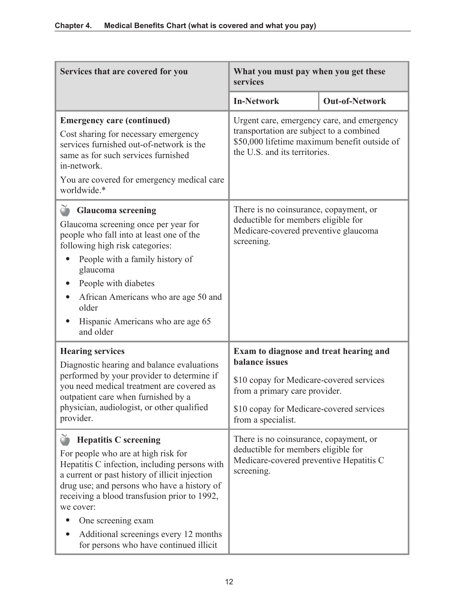| Services that are covered for you                                                                                                                                                                                                                                                                                                                                                           | What you must pay when you get these<br>services                                                                                                                                                               |                       |
|---------------------------------------------------------------------------------------------------------------------------------------------------------------------------------------------------------------------------------------------------------------------------------------------------------------------------------------------------------------------------------------------|----------------------------------------------------------------------------------------------------------------------------------------------------------------------------------------------------------------|-----------------------|
|                                                                                                                                                                                                                                                                                                                                                                                             | <b>In-Network</b>                                                                                                                                                                                              | <b>Out-of-Network</b> |
| <b>Emergency care (continued)</b><br>Cost sharing for necessary emergency<br>services furnished out-of-network is the<br>same as for such services furnished<br>in-network.<br>You are covered for emergency medical care<br>worldwide.*                                                                                                                                                    | Urgent care, emergency care, and emergency<br>transportation are subject to a combined<br>\$50,000 lifetime maximum benefit outside of<br>the U.S. and its territories.                                        |                       |
| <b>Glaucoma</b> screening<br>Glaucoma screening once per year for<br>people who fall into at least one of the<br>following high risk categories:<br>People with a family history of<br>glaucoma<br>People with diabetes<br>African Americans who are age 50 and<br>older<br>Hispanic Americans who are age 65<br>and older                                                                  | There is no coinsurance, copayment, or<br>deductible for members eligible for<br>Medicare-covered preventive glaucoma<br>screening.                                                                            |                       |
| <b>Hearing services</b><br>Diagnostic hearing and balance evaluations<br>performed by your provider to determine if<br>you need medical treatment are covered as<br>outpatient care when furnished by a<br>physician, audiologist, or other qualified<br>provider.                                                                                                                          | Exam to diagnose and treat hearing and<br><b>balance</b> issues<br>\$10 copay for Medicare-covered services<br>from a primary care provider.<br>\$10 copay for Medicare-covered services<br>from a specialist. |                       |
| <b>Hepatitis C</b> screening<br>For people who are at high risk for<br>Hepatitis C infection, including persons with<br>a current or past history of illicit injection<br>drug use; and persons who have a history of<br>receiving a blood transfusion prior to 1992,<br>we cover:<br>One screening exam<br>Additional screenings every 12 months<br>for persons who have continued illicit | There is no coinsurance, copayment, or<br>deductible for members eligible for<br>Medicare-covered preventive Hepatitis C<br>screening.                                                                         |                       |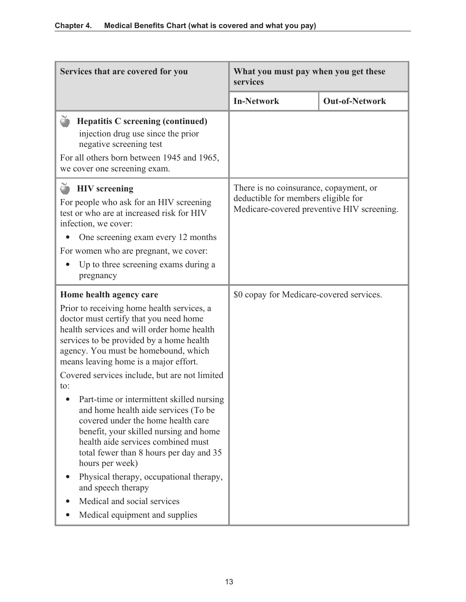| Services that are covered for you                                                                                                                                                                                                                                                                                                                                                                                                                                                                                                                                                                                                                                                                                                                             | What you must pay when you get these<br>services                                                                            |                       |
|---------------------------------------------------------------------------------------------------------------------------------------------------------------------------------------------------------------------------------------------------------------------------------------------------------------------------------------------------------------------------------------------------------------------------------------------------------------------------------------------------------------------------------------------------------------------------------------------------------------------------------------------------------------------------------------------------------------------------------------------------------------|-----------------------------------------------------------------------------------------------------------------------------|-----------------------|
|                                                                                                                                                                                                                                                                                                                                                                                                                                                                                                                                                                                                                                                                                                                                                               | <b>In-Network</b>                                                                                                           | <b>Out-of-Network</b> |
| č<br><b>Hepatitis C screening (continued)</b><br>injection drug use since the prior<br>negative screening test                                                                                                                                                                                                                                                                                                                                                                                                                                                                                                                                                                                                                                                |                                                                                                                             |                       |
| For all others born between 1945 and 1965,<br>we cover one screening exam.                                                                                                                                                                                                                                                                                                                                                                                                                                                                                                                                                                                                                                                                                    |                                                                                                                             |                       |
| <b>HIV</b> screening<br>For people who ask for an HIV screening<br>test or who are at increased risk for HIV<br>infection, we cover:<br>One screening exam every 12 months                                                                                                                                                                                                                                                                                                                                                                                                                                                                                                                                                                                    | There is no coinsurance, copayment, or<br>deductible for members eligible for<br>Medicare-covered preventive HIV screening. |                       |
| For women who are pregnant, we cover:<br>Up to three screening exams during a<br>pregnancy                                                                                                                                                                                                                                                                                                                                                                                                                                                                                                                                                                                                                                                                    |                                                                                                                             |                       |
| Home health agency care<br>Prior to receiving home health services, a<br>doctor must certify that you need home<br>health services and will order home health<br>services to be provided by a home health<br>agency. You must be homebound, which<br>means leaving home is a major effort.<br>Covered services include, but are not limited<br>to:<br>Part-time or intermittent skilled nursing<br>and home health aide services (To be<br>covered under the home health care<br>benefit, your skilled nursing and home<br>health aide services combined must<br>total fewer than 8 hours per day and 35<br>hours per week)<br>Physical therapy, occupational therapy,<br>and speech therapy<br>Medical and social services<br>Medical equipment and supplies | \$0 copay for Medicare-covered services.                                                                                    |                       |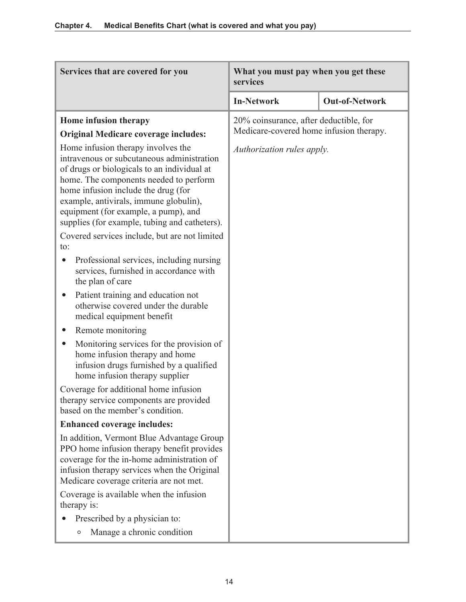| Services that are covered for you                                                                                                                                                                                                                                                                                                                   | What you must pay when you get these<br>services                                  |                       |
|-----------------------------------------------------------------------------------------------------------------------------------------------------------------------------------------------------------------------------------------------------------------------------------------------------------------------------------------------------|-----------------------------------------------------------------------------------|-----------------------|
|                                                                                                                                                                                                                                                                                                                                                     | <b>In-Network</b>                                                                 | <b>Out-of-Network</b> |
| Home infusion therapy<br><b>Original Medicare coverage includes:</b>                                                                                                                                                                                                                                                                                | 20% coinsurance, after deductible, for<br>Medicare-covered home infusion therapy. |                       |
| Home infusion therapy involves the<br>intravenous or subcutaneous administration<br>of drugs or biologicals to an individual at<br>home. The components needed to perform<br>home infusion include the drug (for<br>example, antivirals, immune globulin),<br>equipment (for example, a pump), and<br>supplies (for example, tubing and catheters). | Authorization rules apply.                                                        |                       |
| Covered services include, but are not limited<br>to:                                                                                                                                                                                                                                                                                                |                                                                                   |                       |
| Professional services, including nursing<br>services, furnished in accordance with<br>the plan of care                                                                                                                                                                                                                                              |                                                                                   |                       |
| Patient training and education not<br>$\bullet$<br>otherwise covered under the durable<br>medical equipment benefit                                                                                                                                                                                                                                 |                                                                                   |                       |
| Remote monitoring                                                                                                                                                                                                                                                                                                                                   |                                                                                   |                       |
| Monitoring services for the provision of<br>home infusion therapy and home<br>infusion drugs furnished by a qualified<br>home infusion therapy supplier                                                                                                                                                                                             |                                                                                   |                       |
| Coverage for additional home infusion<br>therapy service components are provided<br>based on the member's condition.                                                                                                                                                                                                                                |                                                                                   |                       |
| <b>Enhanced coverage includes:</b>                                                                                                                                                                                                                                                                                                                  |                                                                                   |                       |
| In addition, Vermont Blue Advantage Group<br>PPO home infusion therapy benefit provides<br>coverage for the in-home administration of<br>infusion therapy services when the Original<br>Medicare coverage criteria are not met.                                                                                                                     |                                                                                   |                       |
| Coverage is available when the infusion<br>therapy is:                                                                                                                                                                                                                                                                                              |                                                                                   |                       |
| Prescribed by a physician to:                                                                                                                                                                                                                                                                                                                       |                                                                                   |                       |
| Manage a chronic condition<br>$\circ$                                                                                                                                                                                                                                                                                                               |                                                                                   |                       |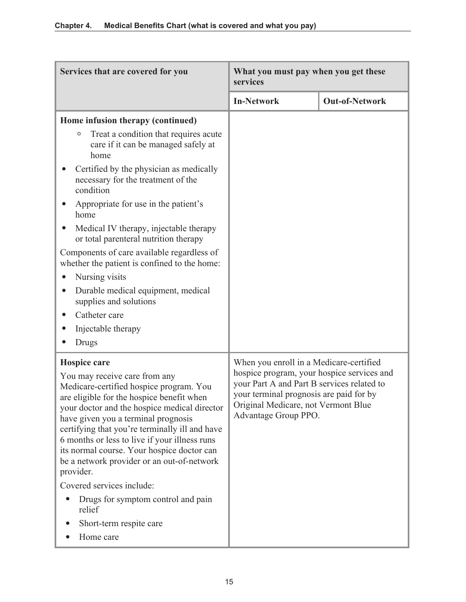| Services that are covered for you                                                                                                                                                                                                                                                                                                                                                                                                                                                                                                                             | What you must pay when you get these<br>services                                                                                                                                                                                              |                       |
|---------------------------------------------------------------------------------------------------------------------------------------------------------------------------------------------------------------------------------------------------------------------------------------------------------------------------------------------------------------------------------------------------------------------------------------------------------------------------------------------------------------------------------------------------------------|-----------------------------------------------------------------------------------------------------------------------------------------------------------------------------------------------------------------------------------------------|-----------------------|
|                                                                                                                                                                                                                                                                                                                                                                                                                                                                                                                                                               | <b>In-Network</b>                                                                                                                                                                                                                             | <b>Out-of-Network</b> |
| Home infusion therapy (continued)<br>Treat a condition that requires acute<br>O<br>care if it can be managed safely at<br>home<br>Certified by the physician as medically<br>necessary for the treatment of the<br>condition<br>Appropriate for use in the patient's                                                                                                                                                                                                                                                                                          |                                                                                                                                                                                                                                               |                       |
| home<br>Medical IV therapy, injectable therapy<br>or total parenteral nutrition therapy<br>Components of care available regardless of<br>whether the patient is confined to the home:<br>Nursing visits<br>Durable medical equipment, medical<br>$\bullet$<br>supplies and solutions<br>Catheter care<br>Injectable therapy<br>Drugs                                                                                                                                                                                                                          |                                                                                                                                                                                                                                               |                       |
| Hospice care<br>You may receive care from any<br>Medicare-certified hospice program. You<br>are eligible for the hospice benefit when<br>your doctor and the hospice medical director<br>have given you a terminal prognosis<br>certifying that you're terminally ill and have<br>6 months or less to live if your illness runs<br>its normal course. Your hospice doctor can<br>be a network provider or an out-of-network<br>provider.<br>Covered services include:<br>Drugs for symptom control and pain<br>relief<br>Short-term respite care<br>Home care | When you enroll in a Medicare-certified<br>hospice program, your hospice services and<br>your Part A and Part B services related to<br>your terminal prognosis are paid for by<br>Original Medicare, not Vermont Blue<br>Advantage Group PPO. |                       |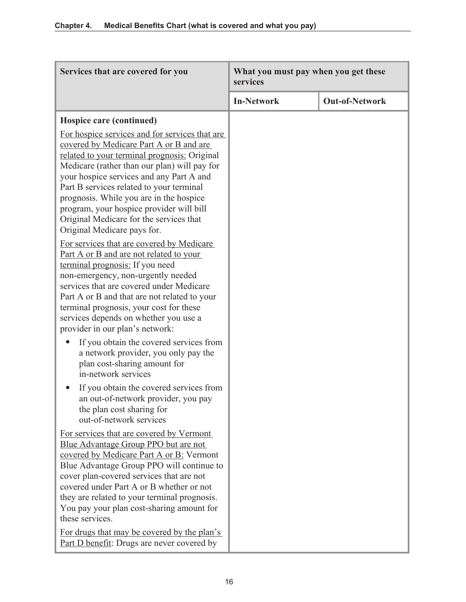| Services that are covered for you                                                                                                                                                                                                                                                                                                                                                                                                                  | What you must pay when you get these<br>services |                       |
|----------------------------------------------------------------------------------------------------------------------------------------------------------------------------------------------------------------------------------------------------------------------------------------------------------------------------------------------------------------------------------------------------------------------------------------------------|--------------------------------------------------|-----------------------|
|                                                                                                                                                                                                                                                                                                                                                                                                                                                    | <b>In-Network</b>                                | <b>Out-of-Network</b> |
| Hospice care (continued)                                                                                                                                                                                                                                                                                                                                                                                                                           |                                                  |                       |
| For hospice services and for services that are<br>covered by Medicare Part A or B and are<br>related to your terminal prognosis: Original<br>Medicare (rather than our plan) will pay for<br>your hospice services and any Part A and<br>Part B services related to your terminal<br>prognosis. While you are in the hospice<br>program, your hospice provider will bill<br>Original Medicare for the services that<br>Original Medicare pays for. |                                                  |                       |
| <u>For services that are covered by Medicare</u><br>Part A or B and are not related to your<br>terminal prognosis: If you need<br>non-emergency, non-urgently needed<br>services that are covered under Medicare<br>Part A or B and that are not related to your<br>terminal prognosis, your cost for these<br>services depends on whether you use a<br>provider in our plan's network:                                                            |                                                  |                       |
| If you obtain the covered services from<br>a network provider, you only pay the<br>plan cost-sharing amount for<br>in-network services                                                                                                                                                                                                                                                                                                             |                                                  |                       |
| If you obtain the covered services from<br>an out-of-network provider, you pay<br>the plan cost sharing for<br>out-of-network services                                                                                                                                                                                                                                                                                                             |                                                  |                       |
| For services that are covered by Vermont<br>Blue Advantage Group PPO but are not<br>covered by Medicare Part A or B: Vermont<br>Blue Advantage Group PPO will continue to<br>cover plan-covered services that are not<br>covered under Part A or B whether or not<br>they are related to your terminal prognosis.<br>You pay your plan cost-sharing amount for<br>these services.                                                                  |                                                  |                       |
| For drugs that may be covered by the plan's<br>Part D benefit: Drugs are never covered by                                                                                                                                                                                                                                                                                                                                                          |                                                  |                       |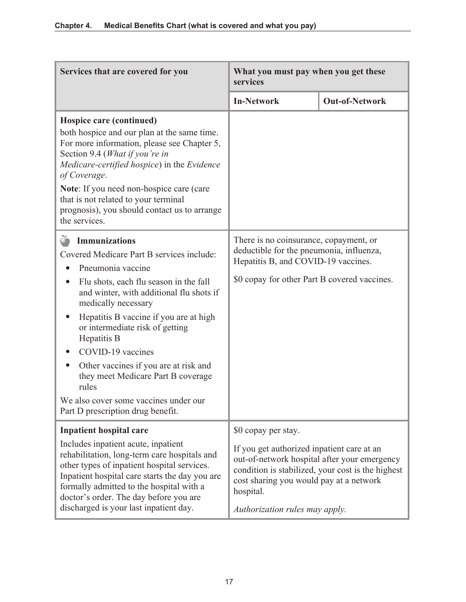| Services that are covered for you                                                                                                                                                                                                                                                                                                                                                                                                                                                                       | What you must pay when you get these<br>services                                                                                                                                                            |                                                   |
|---------------------------------------------------------------------------------------------------------------------------------------------------------------------------------------------------------------------------------------------------------------------------------------------------------------------------------------------------------------------------------------------------------------------------------------------------------------------------------------------------------|-------------------------------------------------------------------------------------------------------------------------------------------------------------------------------------------------------------|---------------------------------------------------|
|                                                                                                                                                                                                                                                                                                                                                                                                                                                                                                         | <b>In-Network</b>                                                                                                                                                                                           | <b>Out-of-Network</b>                             |
| Hospice care (continued)<br>both hospice and our plan at the same time.<br>For more information, please see Chapter 5,<br>Section 9.4 (What if you're in<br>Medicare-certified hospice) in the Evidence<br>of Coverage.<br>Note: If you need non-hospice care (care<br>that is not related to your terminal<br>prognosis), you should contact us to arrange<br>the services.                                                                                                                            |                                                                                                                                                                                                             |                                                   |
| <b>Immunizations</b><br>Covered Medicare Part B services include:<br>Pneumonia vaccine<br>Flu shots, each flu season in the fall<br>$\bullet$<br>and winter, with additional flu shots if<br>medically necessary<br>Hepatitis B vaccine if you are at high<br>or intermediate risk of getting<br>Hepatitis B<br>COVID-19 vaccines<br>Other vaccines if you are at risk and<br>they meet Medicare Part B coverage<br>rules<br>We also cover some vaccines under our<br>Part D prescription drug benefit. | There is no coinsurance, copayment, or<br>deductible for the pneumonia, influenza,<br>Hepatitis B, and COVID-19 vaccines.<br>\$0 copay for other Part B covered vaccines.                                   |                                                   |
| <b>Inpatient hospital care</b><br>Includes inpatient acute, inpatient<br>rehabilitation, long-term care hospitals and<br>other types of inpatient hospital services.<br>Inpatient hospital care starts the day you are<br>formally admitted to the hospital with a<br>doctor's order. The day before you are<br>discharged is your last inpatient day.                                                                                                                                                  | \$0 copay per stay.<br>If you get authorized inpatient care at an<br>out-of-network hospital after your emergency<br>cost sharing you would pay at a network<br>hospital.<br>Authorization rules may apply. | condition is stabilized, your cost is the highest |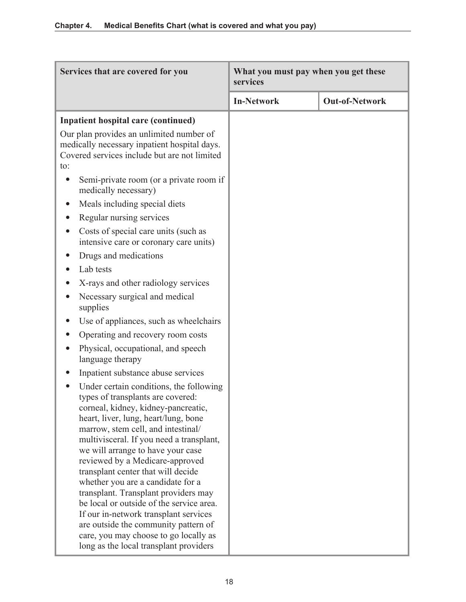| Services that are covered for you                                                                                                                                                                                                                                                                                                                                                                                                                                                                                                                                                                                                                        | What you must pay when you get these<br>services |                       |
|----------------------------------------------------------------------------------------------------------------------------------------------------------------------------------------------------------------------------------------------------------------------------------------------------------------------------------------------------------------------------------------------------------------------------------------------------------------------------------------------------------------------------------------------------------------------------------------------------------------------------------------------------------|--------------------------------------------------|-----------------------|
|                                                                                                                                                                                                                                                                                                                                                                                                                                                                                                                                                                                                                                                          | <b>In-Network</b>                                | <b>Out-of-Network</b> |
| <b>Inpatient hospital care (continued)</b>                                                                                                                                                                                                                                                                                                                                                                                                                                                                                                                                                                                                               |                                                  |                       |
| Our plan provides an unlimited number of<br>medically necessary inpatient hospital days.<br>Covered services include but are not limited<br>to:                                                                                                                                                                                                                                                                                                                                                                                                                                                                                                          |                                                  |                       |
| Semi-private room (or a private room if<br>medically necessary)                                                                                                                                                                                                                                                                                                                                                                                                                                                                                                                                                                                          |                                                  |                       |
| Meals including special diets                                                                                                                                                                                                                                                                                                                                                                                                                                                                                                                                                                                                                            |                                                  |                       |
| Regular nursing services                                                                                                                                                                                                                                                                                                                                                                                                                                                                                                                                                                                                                                 |                                                  |                       |
| Costs of special care units (such as<br>intensive care or coronary care units)                                                                                                                                                                                                                                                                                                                                                                                                                                                                                                                                                                           |                                                  |                       |
| Drugs and medications                                                                                                                                                                                                                                                                                                                                                                                                                                                                                                                                                                                                                                    |                                                  |                       |
| Lab tests                                                                                                                                                                                                                                                                                                                                                                                                                                                                                                                                                                                                                                                |                                                  |                       |
| X-rays and other radiology services                                                                                                                                                                                                                                                                                                                                                                                                                                                                                                                                                                                                                      |                                                  |                       |
| Necessary surgical and medical<br>supplies                                                                                                                                                                                                                                                                                                                                                                                                                                                                                                                                                                                                               |                                                  |                       |
| Use of appliances, such as wheelchairs                                                                                                                                                                                                                                                                                                                                                                                                                                                                                                                                                                                                                   |                                                  |                       |
| Operating and recovery room costs                                                                                                                                                                                                                                                                                                                                                                                                                                                                                                                                                                                                                        |                                                  |                       |
| Physical, occupational, and speech<br>language therapy                                                                                                                                                                                                                                                                                                                                                                                                                                                                                                                                                                                                   |                                                  |                       |
| Inpatient substance abuse services                                                                                                                                                                                                                                                                                                                                                                                                                                                                                                                                                                                                                       |                                                  |                       |
| Under certain conditions, the following<br>types of transplants are covered:<br>corneal, kidney, kidney-pancreatic,<br>heart, liver, lung, heart/lung, bone<br>marrow, stem cell, and intestinal/<br>multivisceral. If you need a transplant,<br>we will arrange to have your case<br>reviewed by a Medicare-approved<br>transplant center that will decide<br>whether you are a candidate for a<br>transplant. Transplant providers may<br>be local or outside of the service area.<br>If our in-network transplant services<br>are outside the community pattern of<br>care, you may choose to go locally as<br>long as the local transplant providers |                                                  |                       |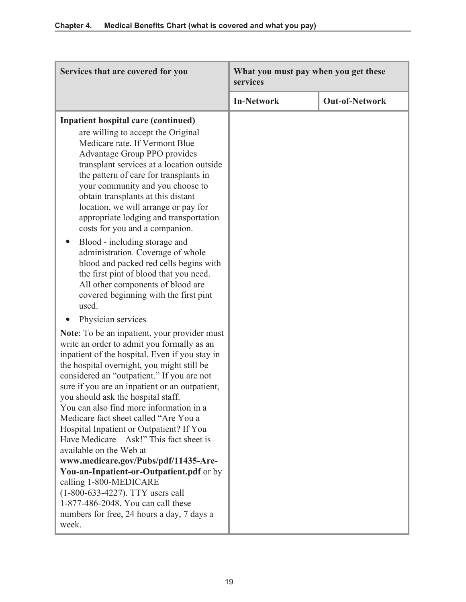| Services that are covered for you                                                                                                                                                                                                                                                                                                                                                                                                                                                                                                                                                                                                                                                                                                                                                             | What you must pay when you get these<br>services |                       |
|-----------------------------------------------------------------------------------------------------------------------------------------------------------------------------------------------------------------------------------------------------------------------------------------------------------------------------------------------------------------------------------------------------------------------------------------------------------------------------------------------------------------------------------------------------------------------------------------------------------------------------------------------------------------------------------------------------------------------------------------------------------------------------------------------|--------------------------------------------------|-----------------------|
|                                                                                                                                                                                                                                                                                                                                                                                                                                                                                                                                                                                                                                                                                                                                                                                               | <b>In-Network</b>                                | <b>Out-of-Network</b> |
| <b>Inpatient hospital care (continued)</b><br>are willing to accept the Original<br>Medicare rate. If Vermont Blue<br>Advantage Group PPO provides<br>transplant services at a location outside<br>the pattern of care for transplants in<br>your community and you choose to<br>obtain transplants at this distant<br>location, we will arrange or pay for<br>appropriate lodging and transportation<br>costs for you and a companion.<br>Blood - including storage and<br>administration. Coverage of whole<br>blood and packed red cells begins with<br>the first pint of blood that you need.<br>All other components of blood are<br>covered beginning with the first pint<br>used.<br>Physician services                                                                                |                                                  |                       |
| <b>Note:</b> To be an inpatient, your provider must<br>write an order to admit you formally as an<br>inpatient of the hospital. Even if you stay in<br>the hospital overnight, you might still be<br>considered an "outpatient." If you are not<br>sure if you are an inpatient or an outpatient,<br>you should ask the hospital staff.<br>You can also find more information in a<br>Medicare fact sheet called "Are You a<br>Hospital Inpatient or Outpatient? If You<br>Have Medicare – Ask!" This fact sheet is<br>available on the Web at<br>www.medicare.gov/Pubs/pdf/11435-Are-<br>You-an-Inpatient-or-Outpatient.pdf or by<br>calling 1-800-MEDICARE<br>(1-800-633-4227). TTY users call<br>1-877-486-2048. You can call these<br>numbers for free, 24 hours a day, 7 days a<br>week. |                                                  |                       |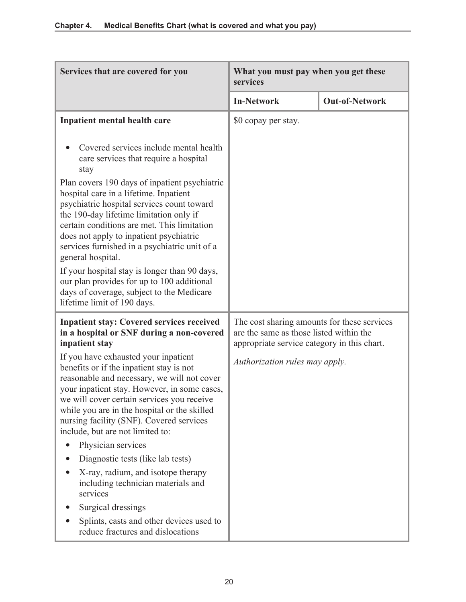| Services that are covered for you                                                                                                                                                                                                                                                                                                                                                                                                                                                                                                                                                       | What you must pay when you get these<br>services                                                                                      |                       |
|-----------------------------------------------------------------------------------------------------------------------------------------------------------------------------------------------------------------------------------------------------------------------------------------------------------------------------------------------------------------------------------------------------------------------------------------------------------------------------------------------------------------------------------------------------------------------------------------|---------------------------------------------------------------------------------------------------------------------------------------|-----------------------|
|                                                                                                                                                                                                                                                                                                                                                                                                                                                                                                                                                                                         | <b>In-Network</b>                                                                                                                     | <b>Out-of-Network</b> |
| Inpatient mental health care                                                                                                                                                                                                                                                                                                                                                                                                                                                                                                                                                            | \$0 copay per stay.                                                                                                                   |                       |
| Covered services include mental health<br>care services that require a hospital<br>stay<br>Plan covers 190 days of inpatient psychiatric<br>hospital care in a lifetime. Inpatient<br>psychiatric hospital services count toward<br>the 190-day lifetime limitation only if<br>certain conditions are met. This limitation<br>does not apply to inpatient psychiatric<br>services furnished in a psychiatric unit of a<br>general hospital.<br>If your hospital stay is longer than 90 days,<br>our plan provides for up to 100 additional<br>days of coverage, subject to the Medicare |                                                                                                                                       |                       |
| lifetime limit of 190 days.                                                                                                                                                                                                                                                                                                                                                                                                                                                                                                                                                             |                                                                                                                                       |                       |
| <b>Inpatient stay: Covered services received</b><br>in a hospital or SNF during a non-covered<br>inpatient stay                                                                                                                                                                                                                                                                                                                                                                                                                                                                         | The cost sharing amounts for these services<br>are the same as those listed within the<br>appropriate service category in this chart. |                       |
| If you have exhausted your inpatient<br>benefits or if the inpatient stay is not<br>reasonable and necessary, we will not cover<br>your inpatient stay. However, in some cases,<br>we will cover certain services you receive<br>while you are in the hospital or the skilled<br>nursing facility (SNF). Covered services<br>include, but are not limited to:                                                                                                                                                                                                                           | Authorization rules may apply.                                                                                                        |                       |
| Physician services                                                                                                                                                                                                                                                                                                                                                                                                                                                                                                                                                                      |                                                                                                                                       |                       |
| Diagnostic tests (like lab tests)                                                                                                                                                                                                                                                                                                                                                                                                                                                                                                                                                       |                                                                                                                                       |                       |
| X-ray, radium, and isotope therapy<br>including technician materials and<br>services                                                                                                                                                                                                                                                                                                                                                                                                                                                                                                    |                                                                                                                                       |                       |
| Surgical dressings                                                                                                                                                                                                                                                                                                                                                                                                                                                                                                                                                                      |                                                                                                                                       |                       |
| Splints, casts and other devices used to<br>reduce fractures and dislocations                                                                                                                                                                                                                                                                                                                                                                                                                                                                                                           |                                                                                                                                       |                       |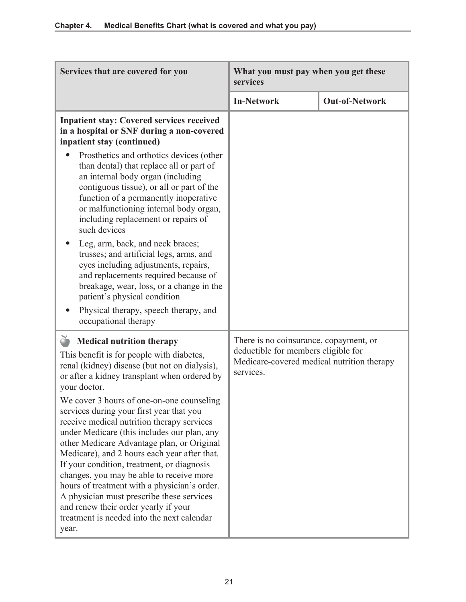| Services that are covered for you                                                                                                                                                                                                                                                                                                                                                                                                                                                                                                                                                                                            | What you must pay when you get these<br>services                                                                                         |                       |
|------------------------------------------------------------------------------------------------------------------------------------------------------------------------------------------------------------------------------------------------------------------------------------------------------------------------------------------------------------------------------------------------------------------------------------------------------------------------------------------------------------------------------------------------------------------------------------------------------------------------------|------------------------------------------------------------------------------------------------------------------------------------------|-----------------------|
|                                                                                                                                                                                                                                                                                                                                                                                                                                                                                                                                                                                                                              | <b>In-Network</b>                                                                                                                        | <b>Out-of-Network</b> |
| <b>Inpatient stay: Covered services received</b><br>in a hospital or SNF during a non-covered<br>inpatient stay (continued)                                                                                                                                                                                                                                                                                                                                                                                                                                                                                                  |                                                                                                                                          |                       |
| Prosthetics and orthotics devices (other<br>than dental) that replace all or part of<br>an internal body organ (including<br>contiguous tissue), or all or part of the<br>function of a permanently inoperative<br>or malfunctioning internal body organ,<br>including replacement or repairs of<br>such devices<br>Leg, arm, back, and neck braces;<br>trusses; and artificial legs, arms, and<br>eyes including adjustments, repairs,<br>and replacements required because of<br>breakage, wear, loss, or a change in the<br>patient's physical condition<br>Physical therapy, speech therapy, and<br>occupational therapy |                                                                                                                                          |                       |
| <b>Medical nutrition therapy</b><br>This benefit is for people with diabetes,<br>renal (kidney) disease (but not on dialysis),<br>or after a kidney transplant when ordered by<br>your doctor.<br>We cover 3 hours of one-on-one counseling<br>services during your first year that you<br>receive medical nutrition therapy services<br>under Medicare (this includes our plan, any                                                                                                                                                                                                                                         | There is no coinsurance, copayment, or<br>deductible for members eligible for<br>Medicare-covered medical nutrition therapy<br>services. |                       |
| other Medicare Advantage plan, or Original<br>Medicare), and 2 hours each year after that.<br>If your condition, treatment, or diagnosis<br>changes, you may be able to receive more<br>hours of treatment with a physician's order.<br>A physician must prescribe these services<br>and renew their order yearly if your<br>treatment is needed into the next calendar<br>year.                                                                                                                                                                                                                                             |                                                                                                                                          |                       |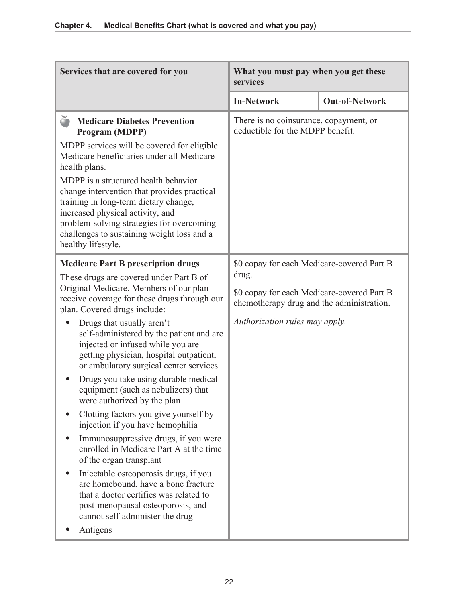| Services that are covered for you                                                                                                                                                                                                                                                 | What you must pay when you get these<br>services                                                                                               |                       |
|-----------------------------------------------------------------------------------------------------------------------------------------------------------------------------------------------------------------------------------------------------------------------------------|------------------------------------------------------------------------------------------------------------------------------------------------|-----------------------|
|                                                                                                                                                                                                                                                                                   | <b>In-Network</b>                                                                                                                              | <b>Out-of-Network</b> |
| č<br><b>Medicare Diabetes Prevention</b><br>Program (MDPP)                                                                                                                                                                                                                        | There is no coinsurance, copayment, or<br>deductible for the MDPP benefit.                                                                     |                       |
| MDPP services will be covered for eligible<br>Medicare beneficiaries under all Medicare<br>health plans.                                                                                                                                                                          |                                                                                                                                                |                       |
| MDPP is a structured health behavior<br>change intervention that provides practical<br>training in long-term dietary change,<br>increased physical activity, and<br>problem-solving strategies for overcoming<br>challenges to sustaining weight loss and a<br>healthy lifestyle. |                                                                                                                                                |                       |
| <b>Medicare Part B prescription drugs</b><br>These drugs are covered under Part B of                                                                                                                                                                                              | \$0 copay for each Medicare-covered Part B<br>drug.<br>\$0 copay for each Medicare-covered Part B<br>chemotherapy drug and the administration. |                       |
| Original Medicare. Members of our plan<br>receive coverage for these drugs through our<br>plan. Covered drugs include:                                                                                                                                                            |                                                                                                                                                |                       |
| Drugs that usually aren't<br>self-administered by the patient and are<br>injected or infused while you are<br>getting physician, hospital outpatient,<br>or ambulatory surgical center services                                                                                   | Authorization rules may apply.                                                                                                                 |                       |
| Drugs you take using durable medical<br>equipment (such as nebulizers) that<br>were authorized by the plan                                                                                                                                                                        |                                                                                                                                                |                       |
| Clotting factors you give yourself by<br>injection if you have hemophilia                                                                                                                                                                                                         |                                                                                                                                                |                       |
| Immunosuppressive drugs, if you were<br>enrolled in Medicare Part A at the time<br>of the organ transplant                                                                                                                                                                        |                                                                                                                                                |                       |
| Injectable osteoporosis drugs, if you<br>are homebound, have a bone fracture<br>that a doctor certifies was related to<br>post-menopausal osteoporosis, and<br>cannot self-administer the drug                                                                                    |                                                                                                                                                |                       |
| Antigens                                                                                                                                                                                                                                                                          |                                                                                                                                                |                       |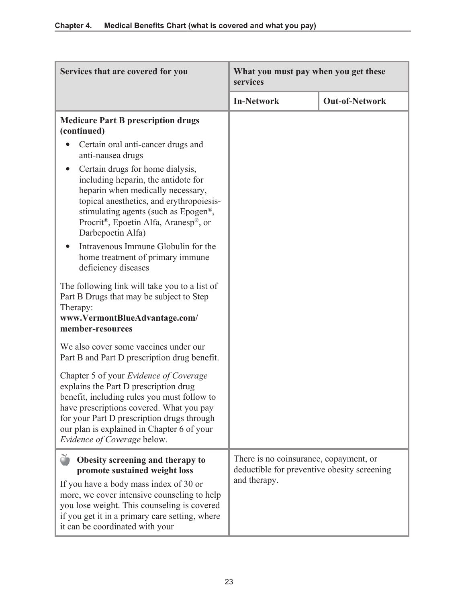| Services that are covered for you                                                                                                                                                                                                                                                                     | What you must pay when you get these<br>services                                                      |                       |
|-------------------------------------------------------------------------------------------------------------------------------------------------------------------------------------------------------------------------------------------------------------------------------------------------------|-------------------------------------------------------------------------------------------------------|-----------------------|
|                                                                                                                                                                                                                                                                                                       | <b>In-Network</b>                                                                                     | <b>Out-of-Network</b> |
| <b>Medicare Part B prescription drugs</b><br>(continued)                                                                                                                                                                                                                                              |                                                                                                       |                       |
| Certain oral anti-cancer drugs and<br>anti-nausea drugs                                                                                                                                                                                                                                               |                                                                                                       |                       |
| Certain drugs for home dialysis,<br>$\bullet$<br>including heparin, the antidote for<br>heparin when medically necessary,<br>topical anesthetics, and erythropoiesis-<br>stimulating agents (such as Epogen <sup>®</sup> ,<br>Procrit®, Epoetin Alfa, Aranesp®, or<br>Darbepoetin Alfa)               |                                                                                                       |                       |
| Intravenous Immune Globulin for the<br>$\bullet$<br>home treatment of primary immune<br>deficiency diseases                                                                                                                                                                                           |                                                                                                       |                       |
| The following link will take you to a list of<br>Part B Drugs that may be subject to Step<br>Therapy:<br>www.VermontBlueAdvantage.com/<br>member-resources                                                                                                                                            |                                                                                                       |                       |
| We also cover some vaccines under our<br>Part B and Part D prescription drug benefit.                                                                                                                                                                                                                 |                                                                                                       |                       |
| Chapter 5 of your Evidence of Coverage<br>explains the Part D prescription drug<br>benefit, including rules you must follow to<br>have prescriptions covered. What you pay<br>for your Part D prescription drugs through<br>our plan is explained in Chapter 6 of your<br>Evidence of Coverage below. |                                                                                                       |                       |
| Obesity screening and therapy to<br>promote sustained weight loss<br>If you have a body mass index of 30 or<br>more, we cover intensive counseling to help<br>you lose weight. This counseling is covered<br>if you get it in a primary care setting, where<br>it can be coordinated with your        | There is no coinsurance, copayment, or<br>deductible for preventive obesity screening<br>and therapy. |                       |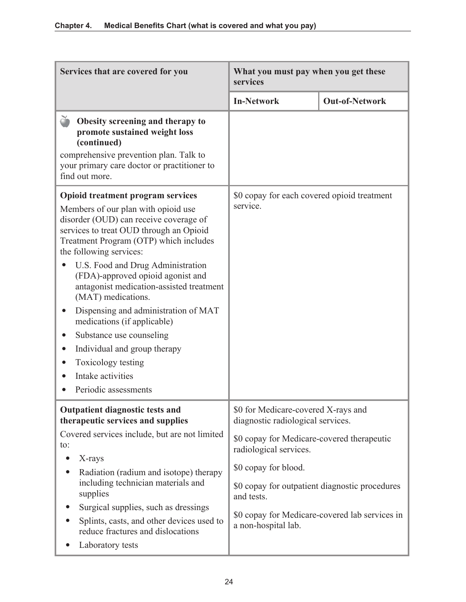| Services that are covered for you                                                                                                                                                             | What you must pay when you get these<br>services                         |                                                |
|-----------------------------------------------------------------------------------------------------------------------------------------------------------------------------------------------|--------------------------------------------------------------------------|------------------------------------------------|
|                                                                                                                                                                                               | <b>In-Network</b>                                                        | <b>Out-of-Network</b>                          |
| Obesity screening and therapy to<br>promote sustained weight loss<br>(continued)<br>comprehensive prevention plan. Talk to<br>your primary care doctor or practitioner to<br>find out more.   |                                                                          |                                                |
| <b>Opioid treatment program services</b>                                                                                                                                                      | \$0 copay for each covered opioid treatment                              |                                                |
| Members of our plan with opioid use<br>disorder (OUD) can receive coverage of<br>services to treat OUD through an Opioid<br>Treatment Program (OTP) which includes<br>the following services: | service.                                                                 |                                                |
| U.S. Food and Drug Administration<br>(FDA)-approved opioid agonist and<br>antagonist medication-assisted treatment<br>(MAT) medications.                                                      |                                                                          |                                                |
| Dispensing and administration of MAT<br>medications (if applicable)                                                                                                                           |                                                                          |                                                |
| Substance use counseling                                                                                                                                                                      |                                                                          |                                                |
| Individual and group therapy                                                                                                                                                                  |                                                                          |                                                |
| Toxicology testing                                                                                                                                                                            |                                                                          |                                                |
| Intake activities                                                                                                                                                                             |                                                                          |                                                |
| Periodic assessments                                                                                                                                                                          |                                                                          |                                                |
| <b>Outpatient diagnostic tests and</b><br>therapeutic services and supplies                                                                                                                   | \$0 for Medicare-covered X-rays and<br>diagnostic radiological services. |                                                |
| Covered services include, but are not limited<br>to:                                                                                                                                          | \$0 copay for Medicare-covered therapeutic<br>radiological services.     |                                                |
| X-rays                                                                                                                                                                                        | \$0 copay for blood.                                                     |                                                |
| Radiation (radium and isotope) therapy<br>including technician materials and<br>supplies                                                                                                      | \$0 copay for outpatient diagnostic procedures<br>and tests.             |                                                |
| Surgical supplies, such as dressings                                                                                                                                                          |                                                                          | \$0 copay for Medicare-covered lab services in |
| Splints, casts, and other devices used to<br>reduce fractures and dislocations                                                                                                                | a non-hospital lab.                                                      |                                                |
| Laboratory tests                                                                                                                                                                              |                                                                          |                                                |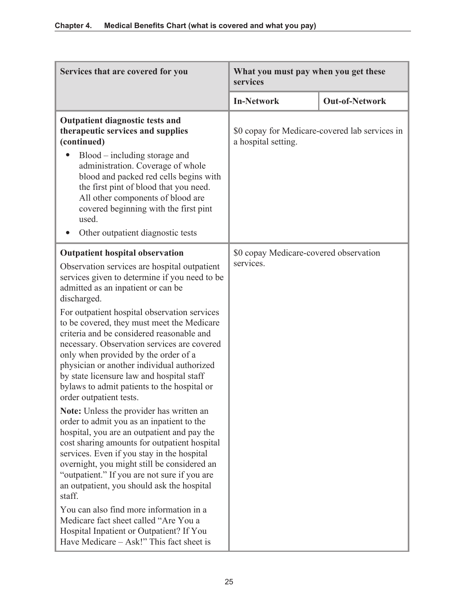| Services that are covered for you                                                                                                                                                                                                                                                                                                                                                                                                                                                                                                                                                                                                                                                                                                                                                                  | What you must pay when you get these<br>services    |                                                |
|----------------------------------------------------------------------------------------------------------------------------------------------------------------------------------------------------------------------------------------------------------------------------------------------------------------------------------------------------------------------------------------------------------------------------------------------------------------------------------------------------------------------------------------------------------------------------------------------------------------------------------------------------------------------------------------------------------------------------------------------------------------------------------------------------|-----------------------------------------------------|------------------------------------------------|
|                                                                                                                                                                                                                                                                                                                                                                                                                                                                                                                                                                                                                                                                                                                                                                                                    | <b>In-Network</b>                                   | <b>Out-of-Network</b>                          |
| <b>Outpatient diagnostic tests and</b><br>therapeutic services and supplies<br>(continued)<br>$Blood$ – including storage and<br>administration. Coverage of whole<br>blood and packed red cells begins with<br>the first pint of blood that you need.<br>All other components of blood are<br>covered beginning with the first pint<br>used.<br>Other outpatient diagnostic tests                                                                                                                                                                                                                                                                                                                                                                                                                 | a hospital setting.                                 | \$0 copay for Medicare-covered lab services in |
| <b>Outpatient hospital observation</b><br>Observation services are hospital outpatient<br>services given to determine if you need to be<br>admitted as an inpatient or can be<br>discharged.<br>For outpatient hospital observation services<br>to be covered, they must meet the Medicare<br>criteria and be considered reasonable and<br>necessary. Observation services are covered<br>only when provided by the order of a<br>physician or another individual authorized<br>by state licensure law and hospital staff<br>bylaws to admit patients to the hospital or<br>order outpatient tests.<br><b>Note:</b> Unless the provider has written an<br>order to admit you as an inpatient to the<br>hospital, you are an outpatient and pay the<br>cost sharing amounts for outpatient hospital | \$0 copay Medicare-covered observation<br>services. |                                                |
| services. Even if you stay in the hospital<br>overnight, you might still be considered an<br>"outpatient." If you are not sure if you are<br>an outpatient, you should ask the hospital<br>staff.<br>You can also find more information in a<br>Medicare fact sheet called "Are You a<br>Hospital Inpatient or Outpatient? If You<br>Have Medicare – Ask!" This fact sheet is                                                                                                                                                                                                                                                                                                                                                                                                                      |                                                     |                                                |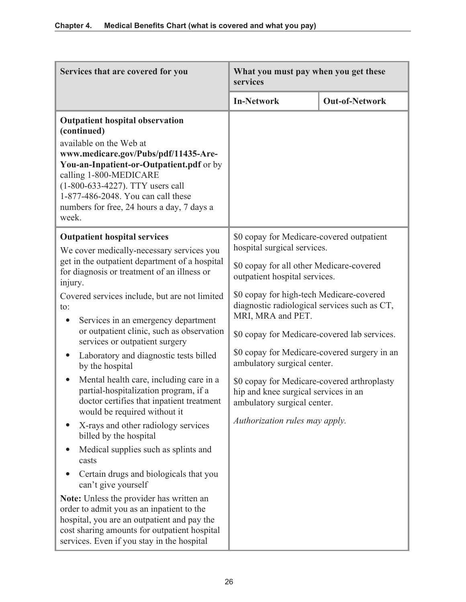| Services that are covered for you                                                                                                                                                                                                                                                                                               | What you must pay when you get these<br>services                                                                   |                       |
|---------------------------------------------------------------------------------------------------------------------------------------------------------------------------------------------------------------------------------------------------------------------------------------------------------------------------------|--------------------------------------------------------------------------------------------------------------------|-----------------------|
|                                                                                                                                                                                                                                                                                                                                 | <b>In-Network</b>                                                                                                  | <b>Out-of-Network</b> |
| <b>Outpatient hospital observation</b><br>(continued)<br>available on the Web at<br>www.medicare.gov/Pubs/pdf/11435-Are-<br>You-an-Inpatient-or-Outpatient.pdf or by<br>calling 1-800-MEDICARE<br>(1-800-633-4227). TTY users call<br>1-877-486-2048. You can call these<br>numbers for free, 24 hours a day, 7 days a<br>week. |                                                                                                                    |                       |
| <b>Outpatient hospital services</b>                                                                                                                                                                                                                                                                                             | \$0 copay for Medicare-covered outpatient<br>hospital surgical services.                                           |                       |
| We cover medically-necessary services you<br>get in the outpatient department of a hospital<br>for diagnosis or treatment of an illness or<br>injury.                                                                                                                                                                           | \$0 copay for all other Medicare-covered<br>outpatient hospital services.                                          |                       |
| Covered services include, but are not limited<br>to:<br>Services in an emergency department<br>$\bullet$                                                                                                                                                                                                                        | \$0 copay for high-tech Medicare-covered<br>diagnostic radiological services such as CT,<br>MRI, MRA and PET.      |                       |
| or outpatient clinic, such as observation<br>services or outpatient surgery                                                                                                                                                                                                                                                     | \$0 copay for Medicare-covered lab services.                                                                       |                       |
| Laboratory and diagnostic tests billed<br>$\bullet$<br>by the hospital                                                                                                                                                                                                                                                          | \$0 copay for Medicare-covered surgery in an<br>ambulatory surgical center.                                        |                       |
| Mental health care, including care in a<br>partial-hospitalization program, if a<br>doctor certifies that inpatient treatment<br>would be required without it                                                                                                                                                                   | \$0 copay for Medicare-covered arthroplasty<br>hip and knee surgical services in an<br>ambulatory surgical center. |                       |
| X-rays and other radiology services<br>billed by the hospital                                                                                                                                                                                                                                                                   | Authorization rules may apply.                                                                                     |                       |
| Medical supplies such as splints and<br>casts                                                                                                                                                                                                                                                                                   |                                                                                                                    |                       |
| Certain drugs and biologicals that you<br>can't give yourself                                                                                                                                                                                                                                                                   |                                                                                                                    |                       |
| Note: Unless the provider has written an<br>order to admit you as an inpatient to the<br>hospital, you are an outpatient and pay the<br>cost sharing amounts for outpatient hospital<br>services. Even if you stay in the hospital                                                                                              |                                                                                                                    |                       |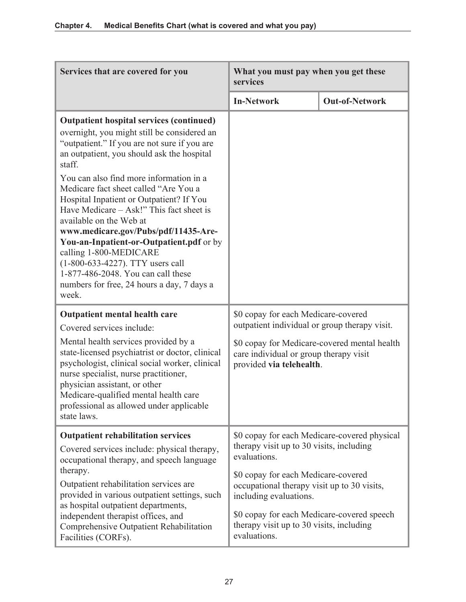| What you must pay when you get these<br>services                                                                                                                                                       |                       |
|--------------------------------------------------------------------------------------------------------------------------------------------------------------------------------------------------------|-----------------------|
| <b>In-Network</b>                                                                                                                                                                                      | <b>Out-of-Network</b> |
|                                                                                                                                                                                                        |                       |
| \$0 copay for each Medicare-covered                                                                                                                                                                    |                       |
| outpatient individual or group therapy visit.<br>\$0 copay for Medicare-covered mental health<br>care individual or group therapy visit<br>provided via telehealth.                                    |                       |
| \$0 copay for each Medicare-covered physical<br>therapy visit up to 30 visits, including<br>evaluations.                                                                                               |                       |
| \$0 copay for each Medicare-covered<br>occupational therapy visit up to 30 visits,<br>including evaluations.<br>\$0 copay for each Medicare-covered speech<br>therapy visit up to 30 visits, including |                       |
|                                                                                                                                                                                                        | evaluations.          |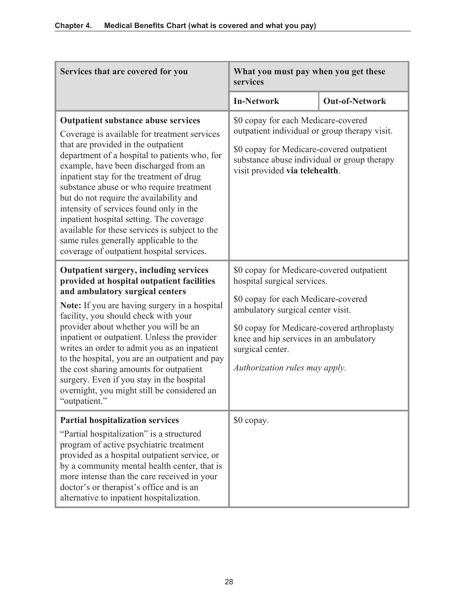| Services that are covered for you                                                                                                                                                                                                                                                                                                                                                                                                                                                                                                                                                              | What you must pay when you get these<br>services                                                                                                                                                                                                                                                    |                       |
|------------------------------------------------------------------------------------------------------------------------------------------------------------------------------------------------------------------------------------------------------------------------------------------------------------------------------------------------------------------------------------------------------------------------------------------------------------------------------------------------------------------------------------------------------------------------------------------------|-----------------------------------------------------------------------------------------------------------------------------------------------------------------------------------------------------------------------------------------------------------------------------------------------------|-----------------------|
|                                                                                                                                                                                                                                                                                                                                                                                                                                                                                                                                                                                                | <b>In-Network</b>                                                                                                                                                                                                                                                                                   | <b>Out-of-Network</b> |
| <b>Outpatient substance abuse services</b><br>Coverage is available for treatment services<br>that are provided in the outpatient<br>department of a hospital to patients who, for<br>example, have been discharged from an<br>inpatient stay for the treatment of drug<br>substance abuse or who require treatment<br>but do not require the availability and<br>intensity of services found only in the<br>inpatient hospital setting. The coverage<br>available for these services is subject to the<br>same rules generally applicable to the<br>coverage of outpatient hospital services. | \$0 copay for each Medicare-covered<br>outpatient individual or group therapy visit.<br>\$0 copay for Medicare-covered outpatient<br>substance abuse individual or group therapy<br>visit provided via telehealth.                                                                                  |                       |
| <b>Outpatient surgery, including services</b><br>provided at hospital outpatient facilities<br>and ambulatory surgical centers<br>Note: If you are having surgery in a hospital<br>facility, you should check with your<br>provider about whether you will be an<br>inpatient or outpatient. Unless the provider<br>writes an order to admit you as an inpatient<br>to the hospital, you are an outpatient and pay<br>the cost sharing amounts for outpatient<br>surgery. Even if you stay in the hospital<br>overnight, you might still be considered an<br>"outpatient."                     | \$0 copay for Medicare-covered outpatient<br>hospital surgical services.<br>\$0 copay for each Medicare-covered<br>ambulatory surgical center visit.<br>\$0 copay for Medicare-covered arthroplasty<br>knee and hip services in an ambulatory<br>surgical center.<br>Authorization rules may apply. |                       |
| <b>Partial hospitalization services</b><br>"Partial hospitalization" is a structured<br>program of active psychiatric treatment<br>provided as a hospital outpatient service, or<br>by a community mental health center, that is<br>more intense than the care received in your<br>doctor's or therapist's office and is an<br>alternative to inpatient hospitalization.                                                                                                                                                                                                                       | \$0 copay.                                                                                                                                                                                                                                                                                          |                       |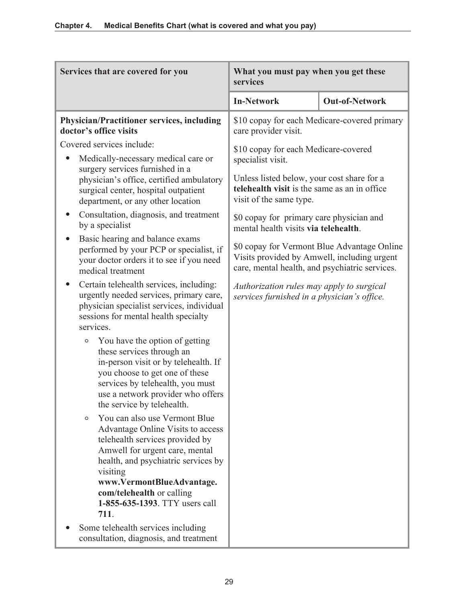| Services that are covered for you                                                                                                                                                                                                                                                                                                                                                                                                                                                                                                                                                                                                                                                                                                            | What you must pay when you get these<br>services                                                                                                                                                                                                                                                                                                                                                                                                                                                                   |                       |
|----------------------------------------------------------------------------------------------------------------------------------------------------------------------------------------------------------------------------------------------------------------------------------------------------------------------------------------------------------------------------------------------------------------------------------------------------------------------------------------------------------------------------------------------------------------------------------------------------------------------------------------------------------------------------------------------------------------------------------------------|--------------------------------------------------------------------------------------------------------------------------------------------------------------------------------------------------------------------------------------------------------------------------------------------------------------------------------------------------------------------------------------------------------------------------------------------------------------------------------------------------------------------|-----------------------|
|                                                                                                                                                                                                                                                                                                                                                                                                                                                                                                                                                                                                                                                                                                                                              | <b>In-Network</b>                                                                                                                                                                                                                                                                                                                                                                                                                                                                                                  | <b>Out-of-Network</b> |
| <b>Physician/Practitioner services, including</b><br>doctor's office visits                                                                                                                                                                                                                                                                                                                                                                                                                                                                                                                                                                                                                                                                  | \$10 copay for each Medicare-covered primary<br>care provider visit.                                                                                                                                                                                                                                                                                                                                                                                                                                               |                       |
| Covered services include:<br>Medically-necessary medical care or<br>surgery services furnished in a<br>physician's office, certified ambulatory<br>surgical center, hospital outpatient<br>department, or any other location<br>Consultation, diagnosis, and treatment<br>by a specialist<br>Basic hearing and balance exams<br>performed by your PCP or specialist, if<br>your doctor orders it to see if you need<br>medical treatment<br>Certain telehealth services, including:<br>urgently needed services, primary care,<br>physician specialist services, individual<br>sessions for mental health specialty<br>services.<br>You have the option of getting<br>O<br>these services through an<br>in-person visit or by telehealth. If | \$10 copay for each Medicare-covered<br>specialist visit.<br>Unless listed below, your cost share for a<br>telehealth visit is the same as an in office<br>visit of the same type.<br>\$0 copay for primary care physician and<br>mental health visits via telehealth.<br>\$0 copay for Vermont Blue Advantage Online<br>Visits provided by Amwell, including urgent<br>care, mental health, and psychiatric services.<br>Authorization rules may apply to surgical<br>services furnished in a physician's office. |                       |
| you choose to get one of these<br>services by telehealth, you must<br>use a network provider who offers<br>the service by telehealth.<br>You can also use Vermont Blue<br>$\circ$<br>Advantage Online Visits to access<br>telehealth services provided by<br>Amwell for urgent care, mental<br>health, and psychiatric services by<br>visiting<br>www.VermontBlueAdvantage.<br>com/telehealth or calling<br>1-855-635-1393. TTY users call<br>711.                                                                                                                                                                                                                                                                                           |                                                                                                                                                                                                                                                                                                                                                                                                                                                                                                                    |                       |
| Some telehealth services including<br>consultation, diagnosis, and treatment                                                                                                                                                                                                                                                                                                                                                                                                                                                                                                                                                                                                                                                                 |                                                                                                                                                                                                                                                                                                                                                                                                                                                                                                                    |                       |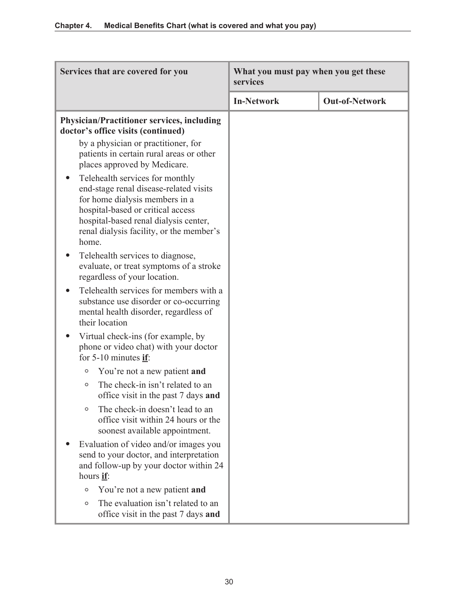| Services that are covered for you                                                                                                                                                                                                                           | What you must pay when you get these<br>services |                       |
|-------------------------------------------------------------------------------------------------------------------------------------------------------------------------------------------------------------------------------------------------------------|--------------------------------------------------|-----------------------|
|                                                                                                                                                                                                                                                             | <b>In-Network</b>                                | <b>Out-of-Network</b> |
| <b>Physician/Practitioner services, including</b><br>doctor's office visits (continued)                                                                                                                                                                     |                                                  |                       |
| by a physician or practitioner, for<br>patients in certain rural areas or other<br>places approved by Medicare.                                                                                                                                             |                                                  |                       |
| Telehealth services for monthly<br>$\bullet$<br>end-stage renal disease-related visits<br>for home dialysis members in a<br>hospital-based or critical access<br>hospital-based renal dialysis center,<br>renal dialysis facility, or the member's<br>home. |                                                  |                       |
| Telehealth services to diagnose,<br>evaluate, or treat symptoms of a stroke<br>regardless of your location.                                                                                                                                                 |                                                  |                       |
| Telehealth services for members with a<br>substance use disorder or co-occurring<br>mental health disorder, regardless of<br>their location                                                                                                                 |                                                  |                       |
| Virtual check-ins (for example, by<br>phone or video chat) with your doctor<br>for $5-10$ minutes if:                                                                                                                                                       |                                                  |                       |
| You're not a new patient and<br>$\circ$                                                                                                                                                                                                                     |                                                  |                       |
| The check-in isn't related to an<br>$\circ$<br>office visit in the past 7 days and                                                                                                                                                                          |                                                  |                       |
| The check-in doesn't lead to an<br>$\circ$<br>office visit within 24 hours or the<br>soonest available appointment.                                                                                                                                         |                                                  |                       |
| Evaluation of video and/or images you<br>send to your doctor, and interpretation<br>and follow-up by your doctor within 24<br>hours if:                                                                                                                     |                                                  |                       |
| You're not a new patient and<br>$\circ$                                                                                                                                                                                                                     |                                                  |                       |
| The evaluation isn't related to an<br>$\circ$<br>office visit in the past 7 days and                                                                                                                                                                        |                                                  |                       |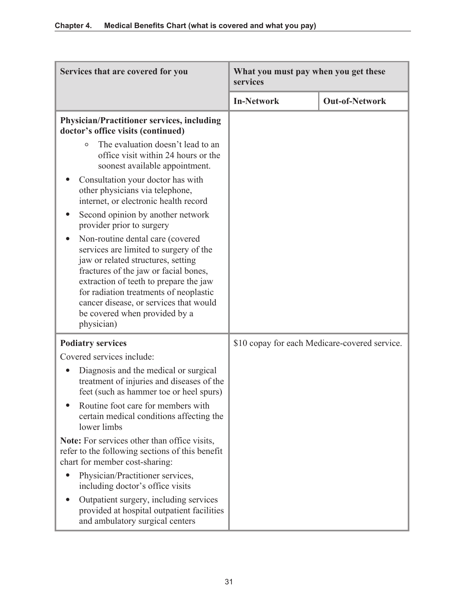| Services that are covered for you                                                                                                                                                                                                                                                                                                      | What you must pay when you get these<br>services |                       |
|----------------------------------------------------------------------------------------------------------------------------------------------------------------------------------------------------------------------------------------------------------------------------------------------------------------------------------------|--------------------------------------------------|-----------------------|
|                                                                                                                                                                                                                                                                                                                                        | <b>In-Network</b>                                | <b>Out-of-Network</b> |
| <b>Physician/Practitioner services, including</b><br>doctor's office visits (continued)                                                                                                                                                                                                                                                |                                                  |                       |
| The evaluation doesn't lead to an<br>$\circ$<br>office visit within 24 hours or the<br>soonest available appointment.                                                                                                                                                                                                                  |                                                  |                       |
| Consultation your doctor has with<br>other physicians via telephone,<br>internet, or electronic health record                                                                                                                                                                                                                          |                                                  |                       |
| Second opinion by another network<br>provider prior to surgery                                                                                                                                                                                                                                                                         |                                                  |                       |
| Non-routine dental care (covered<br>services are limited to surgery of the<br>jaw or related structures, setting<br>fractures of the jaw or facial bones,<br>extraction of teeth to prepare the jaw<br>for radiation treatments of neoplastic<br>cancer disease, or services that would<br>be covered when provided by a<br>physician) |                                                  |                       |
| <b>Podiatry services</b>                                                                                                                                                                                                                                                                                                               | \$10 copay for each Medicare-covered service.    |                       |
| Covered services include:<br>Diagnosis and the medical or surgical<br>treatment of injuries and diseases of the<br>feet (such as hammer toe or heel spurs)<br>Routine foot care for members with<br>certain medical conditions affecting the                                                                                           |                                                  |                       |
| lower limbs<br>Note: For services other than office visits,<br>refer to the following sections of this benefit<br>chart for member cost-sharing:                                                                                                                                                                                       |                                                  |                       |
| Physician/Practitioner services,<br>including doctor's office visits                                                                                                                                                                                                                                                                   |                                                  |                       |
| Outpatient surgery, including services<br>provided at hospital outpatient facilities<br>and ambulatory surgical centers                                                                                                                                                                                                                |                                                  |                       |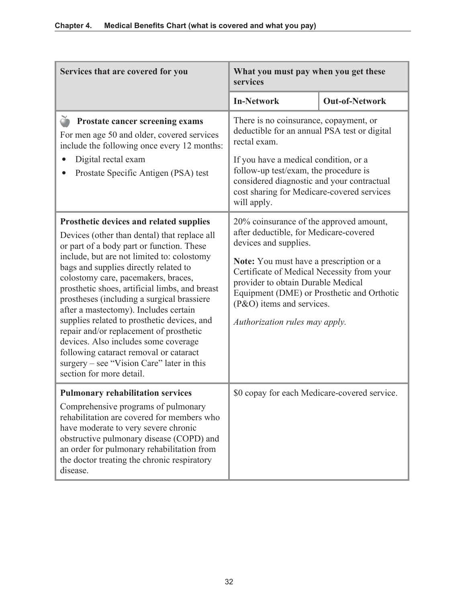| Services that are covered for you                                                                                                                                                                                                                                                                                                                                                                                                                                                                                                                                                                                                                                  | What you must pay when you get these<br>services                                                                                                                                                                                                                                                                                                       |                       |
|--------------------------------------------------------------------------------------------------------------------------------------------------------------------------------------------------------------------------------------------------------------------------------------------------------------------------------------------------------------------------------------------------------------------------------------------------------------------------------------------------------------------------------------------------------------------------------------------------------------------------------------------------------------------|--------------------------------------------------------------------------------------------------------------------------------------------------------------------------------------------------------------------------------------------------------------------------------------------------------------------------------------------------------|-----------------------|
|                                                                                                                                                                                                                                                                                                                                                                                                                                                                                                                                                                                                                                                                    | <b>In-Network</b>                                                                                                                                                                                                                                                                                                                                      | <b>Out-of-Network</b> |
| Prostate cancer screening exams<br>For men age 50 and older, covered services<br>include the following once every 12 months:<br>Digital rectal exam<br>Prostate Specific Antigen (PSA) test                                                                                                                                                                                                                                                                                                                                                                                                                                                                        | There is no coinsurance, copayment, or<br>deductible for an annual PSA test or digital<br>rectal exam.<br>If you have a medical condition, or a<br>follow-up test/exam, the procedure is<br>considered diagnostic and your contractual<br>cost sharing for Medicare-covered services<br>will apply.                                                    |                       |
| Prosthetic devices and related supplies<br>Devices (other than dental) that replace all<br>or part of a body part or function. These<br>include, but are not limited to: colostomy<br>bags and supplies directly related to<br>colostomy care, pacemakers, braces,<br>prosthetic shoes, artificial limbs, and breast<br>prostheses (including a surgical brassiere<br>after a mastectomy). Includes certain<br>supplies related to prosthetic devices, and<br>repair and/or replacement of prosthetic<br>devices. Also includes some coverage<br>following cataract removal or cataract<br>surgery $-$ see "Vision Care" later in this<br>section for more detail. | 20% coinsurance of the approved amount,<br>after deductible, for Medicare-covered<br>devices and supplies.<br>Note: You must have a prescription or a<br>Certificate of Medical Necessity from your<br>provider to obtain Durable Medical<br>Equipment (DME) or Prosthetic and Orthotic<br>(P&O) items and services.<br>Authorization rules may apply. |                       |
| <b>Pulmonary rehabilitation services</b><br>Comprehensive programs of pulmonary<br>rehabilitation are covered for members who<br>have moderate to very severe chronic<br>obstructive pulmonary disease (COPD) and<br>an order for pulmonary rehabilitation from<br>the doctor treating the chronic respiratory<br>disease.                                                                                                                                                                                                                                                                                                                                         | \$0 copay for each Medicare-covered service.                                                                                                                                                                                                                                                                                                           |                       |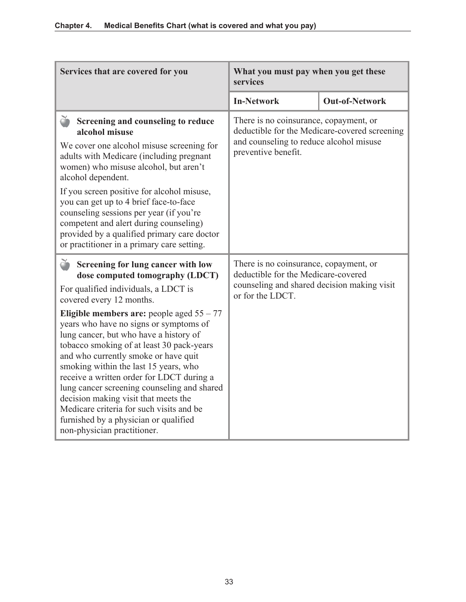| Services that are covered for you                                                                                                                                                                                                                                                                                                                                                                                                                                                                                     | What you must pay when you get these<br>services                                                                                                          |                       |
|-----------------------------------------------------------------------------------------------------------------------------------------------------------------------------------------------------------------------------------------------------------------------------------------------------------------------------------------------------------------------------------------------------------------------------------------------------------------------------------------------------------------------|-----------------------------------------------------------------------------------------------------------------------------------------------------------|-----------------------|
|                                                                                                                                                                                                                                                                                                                                                                                                                                                                                                                       | <b>In-Network</b>                                                                                                                                         | <b>Out-of-Network</b> |
| Ŏ<br>Screening and counseling to reduce<br>alcohol misuse<br>We cover one alcohol misuse screening for<br>adults with Medicare (including pregnant<br>women) who misuse alcohol, but aren't<br>alcohol dependent.<br>If you screen positive for alcohol misuse,<br>you can get up to 4 brief face-to-face                                                                                                                                                                                                             | There is no coinsurance, copayment, or<br>deductible for the Medicare-covered screening<br>and counseling to reduce alcohol misuse<br>preventive benefit. |                       |
| counseling sessions per year (if you're<br>competent and alert during counseling)<br>provided by a qualified primary care doctor<br>or practitioner in a primary care setting.                                                                                                                                                                                                                                                                                                                                        |                                                                                                                                                           |                       |
| Ŏ<br>Screening for lung cancer with low<br>dose computed tomography (LDCT)<br>For qualified individuals, a LDCT is<br>covered every 12 months.                                                                                                                                                                                                                                                                                                                                                                        | There is no coinsurance, copayment, or<br>deductible for the Medicare-covered<br>counseling and shared decision making visit<br>or for the LDCT.          |                       |
| Eligible members are: people aged $55 - 77$<br>years who have no signs or symptoms of<br>lung cancer, but who have a history of<br>tobacco smoking of at least 30 pack-years<br>and who currently smoke or have quit<br>smoking within the last 15 years, who<br>receive a written order for LDCT during a<br>lung cancer screening counseling and shared<br>decision making visit that meets the<br>Medicare criteria for such visits and be<br>furnished by a physician or qualified<br>non-physician practitioner. |                                                                                                                                                           |                       |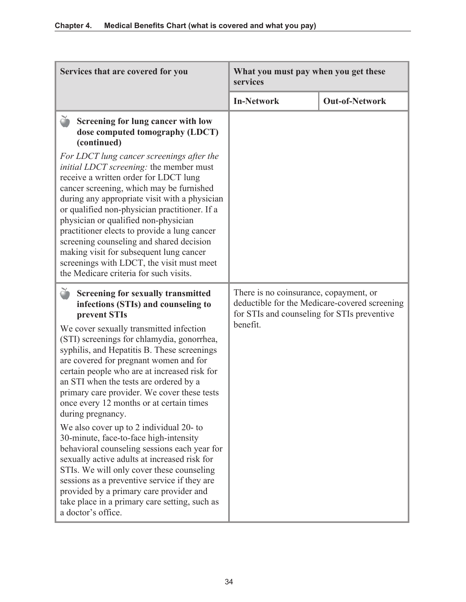| Services that are covered for you                                                                                                                                                                                                                                                                                                                                                                                                                                                                                                                                                                                                                                                                                                                                                                                                                                                                | What you must pay when you get these<br>services                                                  |                                               |
|--------------------------------------------------------------------------------------------------------------------------------------------------------------------------------------------------------------------------------------------------------------------------------------------------------------------------------------------------------------------------------------------------------------------------------------------------------------------------------------------------------------------------------------------------------------------------------------------------------------------------------------------------------------------------------------------------------------------------------------------------------------------------------------------------------------------------------------------------------------------------------------------------|---------------------------------------------------------------------------------------------------|-----------------------------------------------|
|                                                                                                                                                                                                                                                                                                                                                                                                                                                                                                                                                                                                                                                                                                                                                                                                                                                                                                  | <b>In-Network</b>                                                                                 | <b>Out-of-Network</b>                         |
| Screening for lung cancer with low<br>dose computed tomography (LDCT)<br>(continued)                                                                                                                                                                                                                                                                                                                                                                                                                                                                                                                                                                                                                                                                                                                                                                                                             |                                                                                                   |                                               |
| For LDCT lung cancer screenings after the<br>initial LDCT screening: the member must<br>receive a written order for LDCT lung<br>cancer screening, which may be furnished<br>during any appropriate visit with a physician<br>or qualified non-physician practitioner. If a<br>physician or qualified non-physician<br>practitioner elects to provide a lung cancer<br>screening counseling and shared decision<br>making visit for subsequent lung cancer<br>screenings with LDCT, the visit must meet<br>the Medicare criteria for such visits.                                                                                                                                                                                                                                                                                                                                                |                                                                                                   |                                               |
| <b>Screening for sexually transmitted</b><br>infections (STIs) and counseling to<br>prevent STIs<br>We cover sexually transmitted infection<br>(STI) screenings for chlamydia, gonorrhea,<br>syphilis, and Hepatitis B. These screenings<br>are covered for pregnant women and for<br>certain people who are at increased risk for<br>an STI when the tests are ordered by a<br>primary care provider. We cover these tests<br>once every 12 months or at certain times<br>during pregnancy.<br>We also cover up to 2 individual 20- to<br>30-minute, face-to-face high-intensity<br>behavioral counseling sessions each year for<br>sexually active adults at increased risk for<br>STIs. We will only cover these counseling<br>sessions as a preventive service if they are<br>provided by a primary care provider and<br>take place in a primary care setting, such as<br>a doctor's office. | There is no coinsurance, copayment, or<br>for STIs and counseling for STIs preventive<br>benefit. | deductible for the Medicare-covered screening |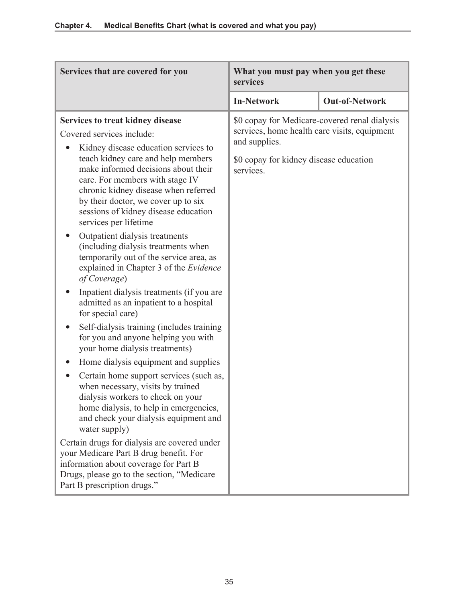| Services that are covered for you                                                                                                                                                                                                                                                                                                                                                                                                                                                                                                                                                                                                                                                                                                                   | What you must pay when you get these<br>services                                                                                                                      |                       |
|-----------------------------------------------------------------------------------------------------------------------------------------------------------------------------------------------------------------------------------------------------------------------------------------------------------------------------------------------------------------------------------------------------------------------------------------------------------------------------------------------------------------------------------------------------------------------------------------------------------------------------------------------------------------------------------------------------------------------------------------------------|-----------------------------------------------------------------------------------------------------------------------------------------------------------------------|-----------------------|
|                                                                                                                                                                                                                                                                                                                                                                                                                                                                                                                                                                                                                                                                                                                                                     | <b>In-Network</b>                                                                                                                                                     | <b>Out-of-Network</b> |
| Services to treat kidney disease<br>Covered services include:<br>Kidney disease education services to<br>teach kidney care and help members<br>make informed decisions about their<br>care. For members with stage IV<br>chronic kidney disease when referred<br>by their doctor, we cover up to six<br>sessions of kidney disease education<br>services per lifetime<br>Outpatient dialysis treatments<br>(including dialysis treatments when<br>temporarily out of the service area, as<br>explained in Chapter 3 of the Evidence<br>of Coverage)<br>Inpatient dialysis treatments (if you are<br>admitted as an inpatient to a hospital<br>for special care)<br>Self-dialysis training (includes training<br>for you and anyone helping you with | \$0 copay for Medicare-covered renal dialysis<br>services, home health care visits, equipment<br>and supplies.<br>\$0 copay for kidney disease education<br>services. |                       |
| your home dialysis treatments)<br>Home dialysis equipment and supplies                                                                                                                                                                                                                                                                                                                                                                                                                                                                                                                                                                                                                                                                              |                                                                                                                                                                       |                       |
| Certain home support services (such as,<br>when necessary, visits by trained<br>dialysis workers to check on your<br>home dialysis, to help in emergencies,<br>and check your dialysis equipment and<br>water supply)                                                                                                                                                                                                                                                                                                                                                                                                                                                                                                                               |                                                                                                                                                                       |                       |
| Certain drugs for dialysis are covered under<br>your Medicare Part B drug benefit. For<br>information about coverage for Part B<br>Drugs, please go to the section, "Medicare"<br>Part B prescription drugs."                                                                                                                                                                                                                                                                                                                                                                                                                                                                                                                                       |                                                                                                                                                                       |                       |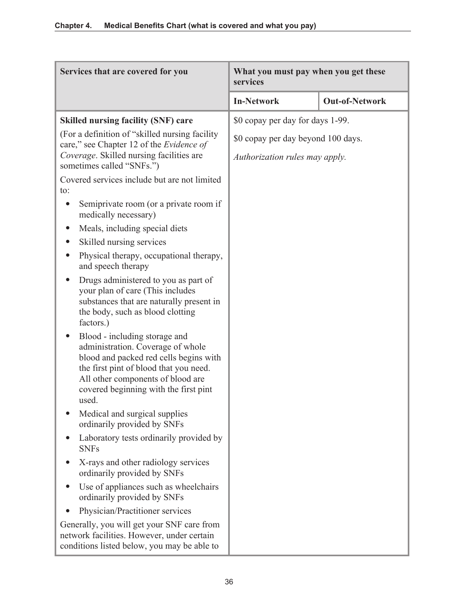| Services that are covered for you                                                                                                                                                                                                             | What you must pay when you get these<br>services |                       |
|-----------------------------------------------------------------------------------------------------------------------------------------------------------------------------------------------------------------------------------------------|--------------------------------------------------|-----------------------|
|                                                                                                                                                                                                                                               | <b>In-Network</b>                                | <b>Out-of-Network</b> |
| <b>Skilled nursing facility (SNF) care</b>                                                                                                                                                                                                    | \$0 copay per day for days 1-99.                 |                       |
| (For a definition of "skilled nursing facility<br>care," see Chapter 12 of the Evidence of                                                                                                                                                    | \$0 copay per day beyond 100 days.               |                       |
| Coverage. Skilled nursing facilities are<br>sometimes called "SNFs.")                                                                                                                                                                         | Authorization rules may apply.                   |                       |
| Covered services include but are not limited<br>to:                                                                                                                                                                                           |                                                  |                       |
| Semiprivate room (or a private room if<br>$\bullet$<br>medically necessary)                                                                                                                                                                   |                                                  |                       |
| Meals, including special diets                                                                                                                                                                                                                |                                                  |                       |
| Skilled nursing services                                                                                                                                                                                                                      |                                                  |                       |
| Physical therapy, occupational therapy,<br>$\bullet$<br>and speech therapy                                                                                                                                                                    |                                                  |                       |
| Drugs administered to you as part of<br>your plan of care (This includes<br>substances that are naturally present in<br>the body, such as blood clotting<br>factors.)                                                                         |                                                  |                       |
| Blood - including storage and<br>administration. Coverage of whole<br>blood and packed red cells begins with<br>the first pint of blood that you need.<br>All other components of blood are<br>covered beginning with the first pint<br>used. |                                                  |                       |
| Medical and surgical supplies<br>ordinarily provided by SNFs                                                                                                                                                                                  |                                                  |                       |
| Laboratory tests ordinarily provided by<br>$\bullet$<br><b>SNFs</b>                                                                                                                                                                           |                                                  |                       |
| X-rays and other radiology services<br>ordinarily provided by SNFs                                                                                                                                                                            |                                                  |                       |
| Use of appliances such as wheelchairs<br>ordinarily provided by SNFs                                                                                                                                                                          |                                                  |                       |
| Physician/Practitioner services                                                                                                                                                                                                               |                                                  |                       |
| Generally, you will get your SNF care from<br>network facilities. However, under certain<br>conditions listed below, you may be able to                                                                                                       |                                                  |                       |

ı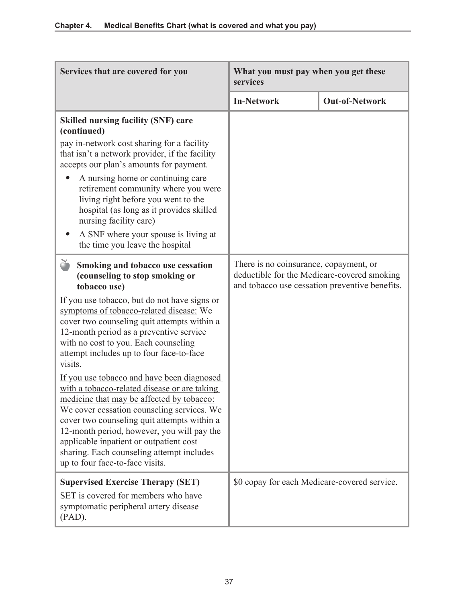| Services that are covered for you                                                                                                                                                                                                                                                                                                                                                                             | What you must pay when you get these<br>services                                                                                        |                       |
|---------------------------------------------------------------------------------------------------------------------------------------------------------------------------------------------------------------------------------------------------------------------------------------------------------------------------------------------------------------------------------------------------------------|-----------------------------------------------------------------------------------------------------------------------------------------|-----------------------|
|                                                                                                                                                                                                                                                                                                                                                                                                               | <b>In-Network</b>                                                                                                                       | <b>Out-of-Network</b> |
| <b>Skilled nursing facility (SNF) care</b><br>(continued)                                                                                                                                                                                                                                                                                                                                                     |                                                                                                                                         |                       |
| pay in-network cost sharing for a facility<br>that isn't a network provider, if the facility<br>accepts our plan's amounts for payment.                                                                                                                                                                                                                                                                       |                                                                                                                                         |                       |
| A nursing home or continuing care<br>retirement community where you were<br>living right before you went to the<br>hospital (as long as it provides skilled<br>nursing facility care)                                                                                                                                                                                                                         |                                                                                                                                         |                       |
| A SNF where your spouse is living at<br>the time you leave the hospital                                                                                                                                                                                                                                                                                                                                       |                                                                                                                                         |                       |
| č<br>Smoking and tobacco use cessation<br>(counseling to stop smoking or<br>tobacco use)                                                                                                                                                                                                                                                                                                                      | There is no coinsurance, copayment, or<br>deductible for the Medicare-covered smoking<br>and tobacco use cessation preventive benefits. |                       |
| If you use tobacco, but do not have signs or<br>symptoms of tobacco-related disease: We<br>cover two counseling quit attempts within a<br>12-month period as a preventive service<br>with no cost to you. Each counseling<br>attempt includes up to four face-to-face<br>visits.                                                                                                                              |                                                                                                                                         |                       |
| If you use tobacco and have been diagnosed<br>with a tobacco-related disease or are taking<br>medicine that may be affected by tobacco:<br>We cover cessation counseling services. We<br>cover two counseling quit attempts within a<br>12-month period, however, you will pay the<br>applicable inpatient or outpatient cost<br>sharing. Each counseling attempt includes<br>up to four face-to-face visits. |                                                                                                                                         |                       |
| <b>Supervised Exercise Therapy (SET)</b><br>SET is covered for members who have<br>symptomatic peripheral artery disease<br>$(PAD)$ .                                                                                                                                                                                                                                                                         | \$0 copay for each Medicare-covered service.                                                                                            |                       |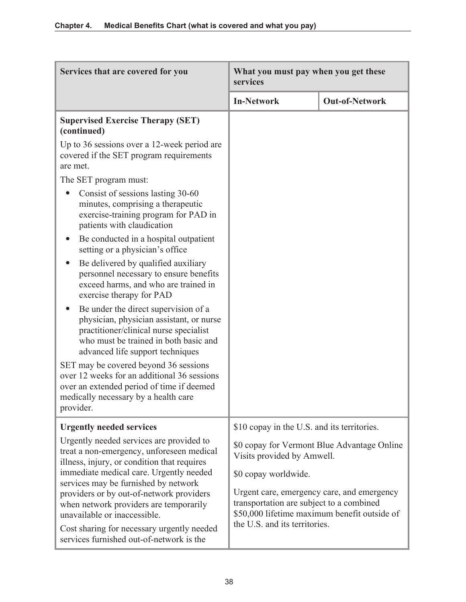| Services that are covered for you                                                                                                                                                                                                                                                                                                                                                           | What you must pay when you get these<br>services                                                                                                                                                                              |                                             |
|---------------------------------------------------------------------------------------------------------------------------------------------------------------------------------------------------------------------------------------------------------------------------------------------------------------------------------------------------------------------------------------------|-------------------------------------------------------------------------------------------------------------------------------------------------------------------------------------------------------------------------------|---------------------------------------------|
|                                                                                                                                                                                                                                                                                                                                                                                             | <b>In-Network</b>                                                                                                                                                                                                             | <b>Out-of-Network</b>                       |
| <b>Supervised Exercise Therapy (SET)</b><br>(continued)                                                                                                                                                                                                                                                                                                                                     |                                                                                                                                                                                                                               |                                             |
| Up to 36 sessions over a 12-week period are<br>covered if the SET program requirements<br>are met.                                                                                                                                                                                                                                                                                          |                                                                                                                                                                                                                               |                                             |
| The SET program must:                                                                                                                                                                                                                                                                                                                                                                       |                                                                                                                                                                                                                               |                                             |
| Consist of sessions lasting 30-60<br>minutes, comprising a therapeutic<br>exercise-training program for PAD in<br>patients with claudication                                                                                                                                                                                                                                                |                                                                                                                                                                                                                               |                                             |
| Be conducted in a hospital outpatient<br>setting or a physician's office                                                                                                                                                                                                                                                                                                                    |                                                                                                                                                                                                                               |                                             |
| Be delivered by qualified auxiliary<br>personnel necessary to ensure benefits<br>exceed harms, and who are trained in<br>exercise therapy for PAD                                                                                                                                                                                                                                           |                                                                                                                                                                                                                               |                                             |
| Be under the direct supervision of a<br>physician, physician assistant, or nurse<br>practitioner/clinical nurse specialist<br>who must be trained in both basic and<br>advanced life support techniques                                                                                                                                                                                     |                                                                                                                                                                                                                               |                                             |
| SET may be covered beyond 36 sessions<br>over 12 weeks for an additional 36 sessions<br>over an extended period of time if deemed<br>medically necessary by a health care<br>provider.                                                                                                                                                                                                      |                                                                                                                                                                                                                               |                                             |
| <b>Urgently needed services</b>                                                                                                                                                                                                                                                                                                                                                             | \$10 copay in the U.S. and its territories.                                                                                                                                                                                   |                                             |
| Urgently needed services are provided to<br>treat a non-emergency, unforeseen medical<br>illness, injury, or condition that requires<br>immediate medical care. Urgently needed<br>services may be furnished by network<br>providers or by out-of-network providers<br>when network providers are temporarily<br>unavailable or inaccessible.<br>Cost sharing for necessary urgently needed | Visits provided by Amwell.<br>\$0 copay worldwide.<br>Urgent care, emergency care, and emergency<br>transportation are subject to a combined<br>\$50,000 lifetime maximum benefit outside of<br>the U.S. and its territories. | \$0 copay for Vermont Blue Advantage Online |
| services furnished out-of-network is the                                                                                                                                                                                                                                                                                                                                                    |                                                                                                                                                                                                                               |                                             |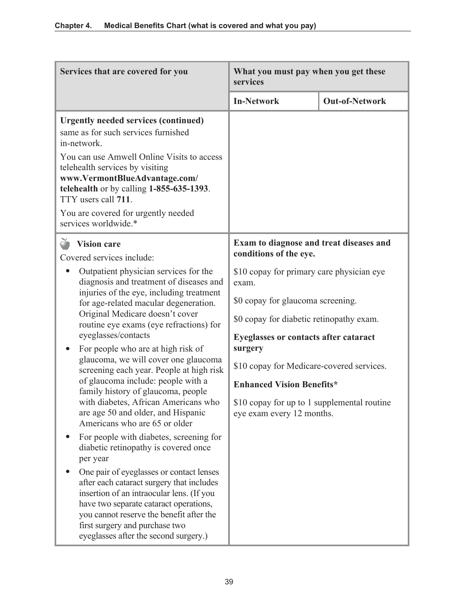| Services that are covered for you                                                                                                                                                                                                                                                                                                                                                                                                                                                                                                                                                                                                                                                                                                                                                                                                                                                                                                                                                                     | What you must pay when you get these<br>services                                                                                                                                                                                                                                                                                                                                                |                       |
|-------------------------------------------------------------------------------------------------------------------------------------------------------------------------------------------------------------------------------------------------------------------------------------------------------------------------------------------------------------------------------------------------------------------------------------------------------------------------------------------------------------------------------------------------------------------------------------------------------------------------------------------------------------------------------------------------------------------------------------------------------------------------------------------------------------------------------------------------------------------------------------------------------------------------------------------------------------------------------------------------------|-------------------------------------------------------------------------------------------------------------------------------------------------------------------------------------------------------------------------------------------------------------------------------------------------------------------------------------------------------------------------------------------------|-----------------------|
|                                                                                                                                                                                                                                                                                                                                                                                                                                                                                                                                                                                                                                                                                                                                                                                                                                                                                                                                                                                                       | <b>In-Network</b>                                                                                                                                                                                                                                                                                                                                                                               | <b>Out-of-Network</b> |
| <b>Urgently needed services (continued)</b><br>same as for such services furnished<br>in-network.<br>You can use Amwell Online Visits to access<br>telehealth services by visiting<br>www.VermontBlueAdvantage.com/<br>telehealth or by calling $1-855-635-1393$ .<br>TTY users call 711.<br>You are covered for urgently needed<br>services worldwide.*                                                                                                                                                                                                                                                                                                                                                                                                                                                                                                                                                                                                                                              |                                                                                                                                                                                                                                                                                                                                                                                                 |                       |
| <b>Vision care</b><br>Covered services include:                                                                                                                                                                                                                                                                                                                                                                                                                                                                                                                                                                                                                                                                                                                                                                                                                                                                                                                                                       | conditions of the eye.                                                                                                                                                                                                                                                                                                                                                                          |                       |
| Outpatient physician services for the<br>diagnosis and treatment of diseases and<br>injuries of the eye, including treatment<br>for age-related macular degeneration.<br>Original Medicare doesn't cover<br>routine eye exams (eye refractions) for<br>eyeglasses/contacts<br>For people who are at high risk of<br>glaucoma, we will cover one glaucoma<br>screening each year. People at high risk<br>of glaucoma include: people with a<br>family history of glaucoma, people<br>with diabetes, African Americans who<br>are age 50 and older, and Hispanic<br>Americans who are 65 or older<br>For people with diabetes, screening for<br>diabetic retinopathy is covered once<br>per year<br>One pair of eyeglasses or contact lenses<br>after each cataract surgery that includes<br>insertion of an intraocular lens. (If you<br>have two separate cataract operations,<br>you cannot reserve the benefit after the<br>first surgery and purchase two<br>eyeglasses after the second surgery.) | Exam to diagnose and treat diseases and<br>\$10 copay for primary care physician eye<br>exam.<br>\$0 copay for glaucoma screening.<br>\$0 copay for diabetic retinopathy exam.<br>Eyeglasses or contacts after cataract<br>surgery<br>\$10 copay for Medicare-covered services.<br><b>Enhanced Vision Benefits*</b><br>\$10 copay for up to 1 supplemental routine<br>eye exam every 12 months. |                       |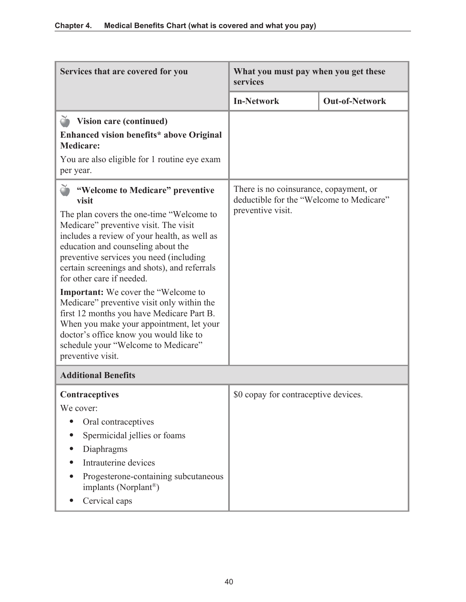| Services that are covered for you                                                                                                                                                                                                                                                                                                                                                                                                                                                                                                                                                                                                                | What you must pay when you get these<br>services                                                        |                       |
|--------------------------------------------------------------------------------------------------------------------------------------------------------------------------------------------------------------------------------------------------------------------------------------------------------------------------------------------------------------------------------------------------------------------------------------------------------------------------------------------------------------------------------------------------------------------------------------------------------------------------------------------------|---------------------------------------------------------------------------------------------------------|-----------------------|
|                                                                                                                                                                                                                                                                                                                                                                                                                                                                                                                                                                                                                                                  | <b>In-Network</b>                                                                                       | <b>Out-of-Network</b> |
| Vision care (continued)<br>Enhanced vision benefits* above Original<br><b>Medicare:</b><br>You are also eligible for 1 routine eye exam<br>per year.                                                                                                                                                                                                                                                                                                                                                                                                                                                                                             |                                                                                                         |                       |
| <b>S</b> "Welcome to Medicare" preventive<br>visit<br>The plan covers the one-time "Welcome to<br>Medicare" preventive visit. The visit<br>includes a review of your health, as well as<br>education and counseling about the<br>preventive services you need (including<br>certain screenings and shots), and referrals<br>for other care if needed.<br><b>Important:</b> We cover the "Welcome to<br>Medicare" preventive visit only within the<br>first 12 months you have Medicare Part B.<br>When you make your appointment, let your<br>doctor's office know you would like to<br>schedule your "Welcome to Medicare"<br>preventive visit. | There is no coinsurance, copayment, or<br>deductible for the "Welcome to Medicare"<br>preventive visit. |                       |
| <b>Additional Benefits</b>                                                                                                                                                                                                                                                                                                                                                                                                                                                                                                                                                                                                                       |                                                                                                         |                       |
| <b>Contraceptives</b><br>We cover:<br>Oral contraceptives<br>Spermicidal jellies or foams<br>Diaphragms<br>Intrauterine devices<br>Progesterone-containing subcutaneous<br>implants (Norplant®)<br>Cervical caps                                                                                                                                                                                                                                                                                                                                                                                                                                 | \$0 copay for contraceptive devices.                                                                    |                       |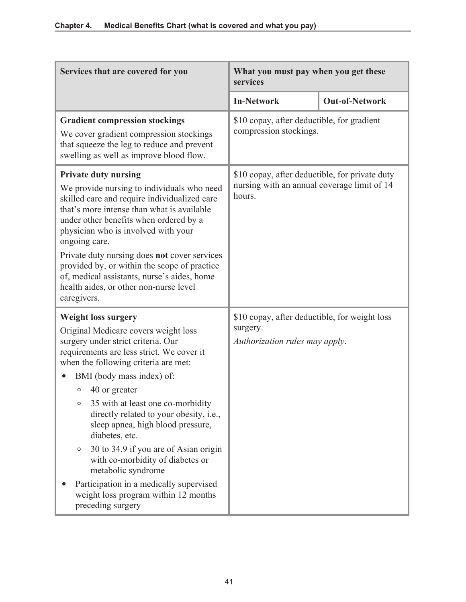| Services that are covered for you                                                                                                                                                                                                                                                                                                                                                                                                                                                                                                                                                                                        | What you must pay when you get these<br>services                                                        |                       |
|--------------------------------------------------------------------------------------------------------------------------------------------------------------------------------------------------------------------------------------------------------------------------------------------------------------------------------------------------------------------------------------------------------------------------------------------------------------------------------------------------------------------------------------------------------------------------------------------------------------------------|---------------------------------------------------------------------------------------------------------|-----------------------|
|                                                                                                                                                                                                                                                                                                                                                                                                                                                                                                                                                                                                                          | <b>In-Network</b>                                                                                       | <b>Out-of-Network</b> |
| <b>Gradient compression stockings</b><br>We cover gradient compression stockings<br>that squeeze the leg to reduce and prevent<br>swelling as well as improve blood flow.                                                                                                                                                                                                                                                                                                                                                                                                                                                | \$10 copay, after deductible, for gradient<br>compression stockings.                                    |                       |
| <b>Private duty nursing</b><br>We provide nursing to individuals who need<br>skilled care and require individualized care<br>that's more intense than what is available<br>under other benefits when ordered by a<br>physician who is involved with your<br>ongoing care.<br>Private duty nursing does not cover services<br>provided by, or within the scope of practice<br>of, medical assistants, nurse's aides, home<br>health aides, or other non-nurse level<br>caregivers.                                                                                                                                        | \$10 copay, after deductible, for private duty<br>nursing with an annual coverage limit of 14<br>hours. |                       |
| <b>Weight loss surgery</b><br>Original Medicare covers weight loss<br>surgery under strict criteria. Our<br>requirements are less strict. We cover it<br>when the following criteria are met:<br>BMI (body mass index) of:<br>40 or greater<br>O<br>35 with at least one co-morbidity<br>$\circ$<br>directly related to your obesity, i.e.,<br>sleep apnea, high blood pressure,<br>diabetes, etc.<br>30 to 34.9 if you are of Asian origin<br>$\circ$<br>with co-morbidity of diabetes or<br>metabolic syndrome<br>Participation in a medically supervised<br>weight loss program within 12 months<br>preceding surgery | \$10 copay, after deductible, for weight loss<br>surgery.<br>Authorization rules may apply.             |                       |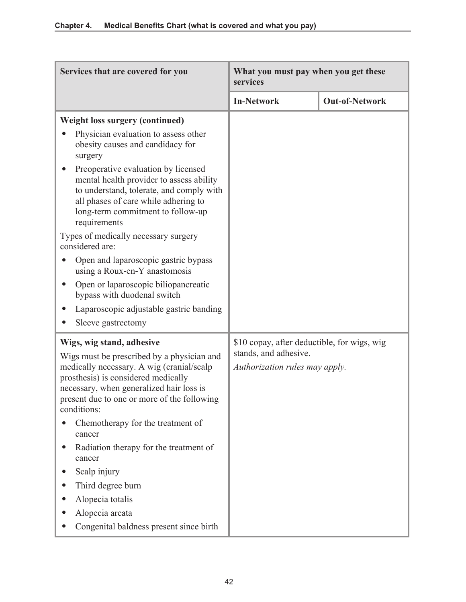| Services that are covered for you                                                                                                                                                                                                        | What you must pay when you get these<br>services        |                       |
|------------------------------------------------------------------------------------------------------------------------------------------------------------------------------------------------------------------------------------------|---------------------------------------------------------|-----------------------|
|                                                                                                                                                                                                                                          | <b>In-Network</b>                                       | <b>Out-of-Network</b> |
| <b>Weight loss surgery (continued)</b><br>Physician evaluation to assess other<br>obesity causes and candidacy for<br>surgery                                                                                                            |                                                         |                       |
| Preoperative evaluation by licensed<br>mental health provider to assess ability<br>to understand, tolerate, and comply with<br>all phases of care while adhering to<br>long-term commitment to follow-up<br>requirements                 |                                                         |                       |
| Types of medically necessary surgery<br>considered are:                                                                                                                                                                                  |                                                         |                       |
| Open and laparoscopic gastric bypass<br>using a Roux-en-Y anastomosis                                                                                                                                                                    |                                                         |                       |
| Open or laparoscopic biliopancreatic<br>bypass with duodenal switch                                                                                                                                                                      |                                                         |                       |
| Laparoscopic adjustable gastric banding<br>Sleeve gastrectomy<br>$\bullet$                                                                                                                                                               |                                                         |                       |
| Wigs, wig stand, adhesive                                                                                                                                                                                                                | \$10 copay, after deductible, for wigs, wig             |                       |
| Wigs must be prescribed by a physician and<br>medically necessary. A wig (cranial/scalp<br>prosthesis) is considered medically<br>necessary, when generalized hair loss is<br>present due to one or more of the following<br>conditions: | stands, and adhesive.<br>Authorization rules may apply. |                       |
| Chemotherapy for the treatment of<br>cancer                                                                                                                                                                                              |                                                         |                       |
| Radiation therapy for the treatment of<br>cancer                                                                                                                                                                                         |                                                         |                       |
| Scalp injury                                                                                                                                                                                                                             |                                                         |                       |
| Third degree burn                                                                                                                                                                                                                        |                                                         |                       |
| Alopecia totalis                                                                                                                                                                                                                         |                                                         |                       |
| Alopecia areata                                                                                                                                                                                                                          |                                                         |                       |
| Congenital baldness present since birth                                                                                                                                                                                                  |                                                         |                       |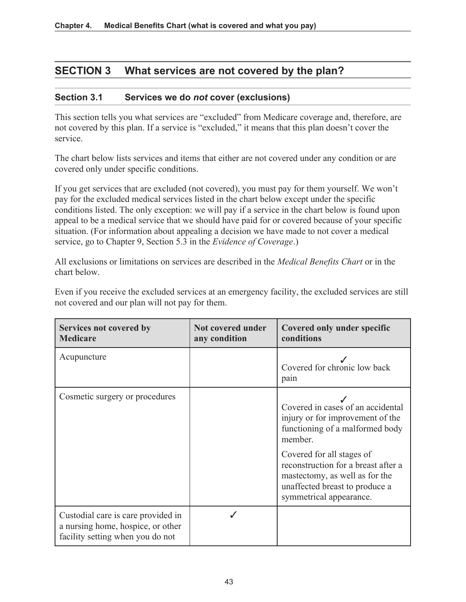# **SECTION 3 What services are not covered by the plan?**

#### **Section 3.1 Services we do** *not* **cover (exclusions)**

This section tells you what services are "excluded" from Medicare coverage and, therefore, are not covered by this plan. If a service is "excluded," it means that this plan doesn't cover the service.

The chart below lists services and items that either are not covered under any condition or are covered only under specific conditions.

If you get services that are excluded (not covered), you must pay for them yourself. We won't pay for the excluded medical services listed in the chart below except under the specific conditions listed. The only exception: we will pay if a service in the chart below is found upon appeal to be a medical service that we should have paid for or covered because of your specific situation. (For information about appealing a decision we have made to not cover a medical service, go to Chapter 9, Section 5.3 in the *Evidence of Coverage*.)

All exclusions or limitations on services are described in the *Medical Benefits Chart* or in the chart below.

Even if you receive the excluded services at an emergency facility, the excluded services are still not covered and our plan will not pay for them.

| Services not covered by<br><b>Medicare</b>                                                                  | Not covered under<br>any condition | <b>Covered only under specific</b><br>conditions                                                                                                                                                                                                                                       |
|-------------------------------------------------------------------------------------------------------------|------------------------------------|----------------------------------------------------------------------------------------------------------------------------------------------------------------------------------------------------------------------------------------------------------------------------------------|
| Acupuncture                                                                                                 |                                    | Covered for chronic low back<br>pain                                                                                                                                                                                                                                                   |
| Cosmetic surgery or procedures                                                                              |                                    | Covered in cases of an accidental<br>injury or for improvement of the<br>functioning of a malformed body<br>member.<br>Covered for all stages of<br>reconstruction for a breast after a<br>mastectomy, as well as for the<br>unaffected breast to produce a<br>symmetrical appearance. |
| Custodial care is care provided in<br>a nursing home, hospice, or other<br>facility setting when you do not |                                    |                                                                                                                                                                                                                                                                                        |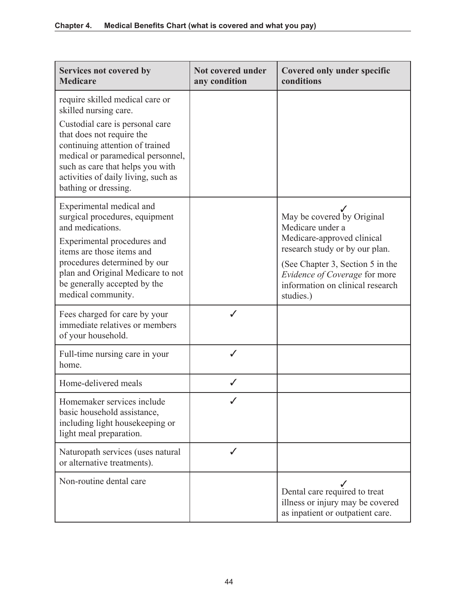| Services not covered by<br><b>Medicare</b>                                                                                                                                                                                                                                                          | Not covered under<br>any condition | Covered only under specific<br>conditions                                                                                                                                                                                            |
|-----------------------------------------------------------------------------------------------------------------------------------------------------------------------------------------------------------------------------------------------------------------------------------------------------|------------------------------------|--------------------------------------------------------------------------------------------------------------------------------------------------------------------------------------------------------------------------------------|
| require skilled medical care or<br>skilled nursing care.<br>Custodial care is personal care<br>that does not require the<br>continuing attention of trained<br>medical or paramedical personnel,<br>such as care that helps you with<br>activities of daily living, such as<br>bathing or dressing. |                                    |                                                                                                                                                                                                                                      |
| Experimental medical and<br>surgical procedures, equipment<br>and medications.<br>Experimental procedures and<br>items are those items and<br>procedures determined by our<br>plan and Original Medicare to not<br>be generally accepted by the<br>medical community.                               |                                    | May be covered by Original<br>Medicare under a<br>Medicare-approved clinical<br>research study or by our plan.<br>(See Chapter 3, Section 5 in the<br>Evidence of Coverage for more<br>information on clinical research<br>studies.) |
| Fees charged for care by your<br>immediate relatives or members<br>of your household.                                                                                                                                                                                                               |                                    |                                                                                                                                                                                                                                      |
| Full-time nursing care in your<br>home.                                                                                                                                                                                                                                                             | ✓                                  |                                                                                                                                                                                                                                      |
| Home-delivered meals                                                                                                                                                                                                                                                                                | ✓                                  |                                                                                                                                                                                                                                      |
| Homemaker services include<br>basic household assistance,<br>including light housekeeping or<br>light meal preparation.                                                                                                                                                                             |                                    |                                                                                                                                                                                                                                      |
| Naturopath services (uses natural<br>or alternative treatments).                                                                                                                                                                                                                                    | J                                  |                                                                                                                                                                                                                                      |
| Non-routine dental care                                                                                                                                                                                                                                                                             |                                    | Dental care required to treat<br>illness or injury may be covered<br>as inpatient or outpatient care.                                                                                                                                |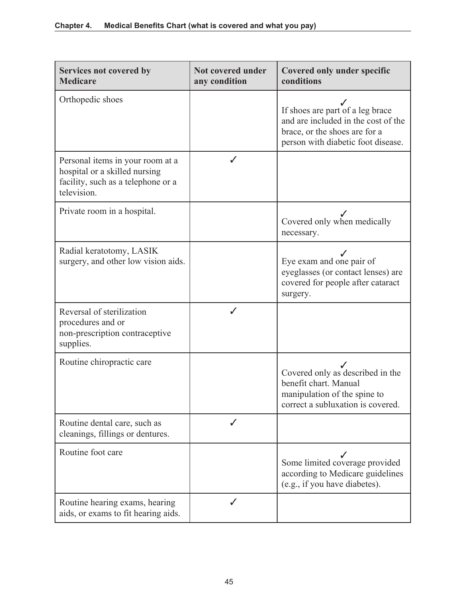| Services not covered by<br><b>Medicare</b>                                                                             | Not covered under<br>any condition | <b>Covered only under specific</b><br>conditions                                                                                               |
|------------------------------------------------------------------------------------------------------------------------|------------------------------------|------------------------------------------------------------------------------------------------------------------------------------------------|
| Orthopedic shoes                                                                                                       |                                    | If shoes are part of a leg brace<br>and are included in the cost of the<br>brace, or the shoes are for a<br>person with diabetic foot disease. |
| Personal items in your room at a<br>hospital or a skilled nursing<br>facility, such as a telephone or a<br>television. |                                    |                                                                                                                                                |
| Private room in a hospital.                                                                                            |                                    | Covered only when medically<br>necessary.                                                                                                      |
| Radial keratotomy, LASIK<br>surgery, and other low vision aids.                                                        |                                    | Eye exam and one pair of<br>eyeglasses (or contact lenses) are<br>covered for people after cataract<br>surgery.                                |
| Reversal of sterilization<br>procedures and or<br>non-prescription contraceptive<br>supplies.                          |                                    |                                                                                                                                                |
| Routine chiropractic care                                                                                              |                                    | Covered only as described in the<br>benefit chart. Manual<br>manipulation of the spine to<br>correct a subluxation is covered.                 |
| Routine dental care, such as<br>cleanings, fillings or dentures.                                                       | ✓                                  |                                                                                                                                                |
| Routine foot care                                                                                                      |                                    | Some limited coverage provided<br>according to Medicare guidelines<br>(e.g., if you have diabetes).                                            |
| Routine hearing exams, hearing<br>aids, or exams to fit hearing aids.                                                  |                                    |                                                                                                                                                |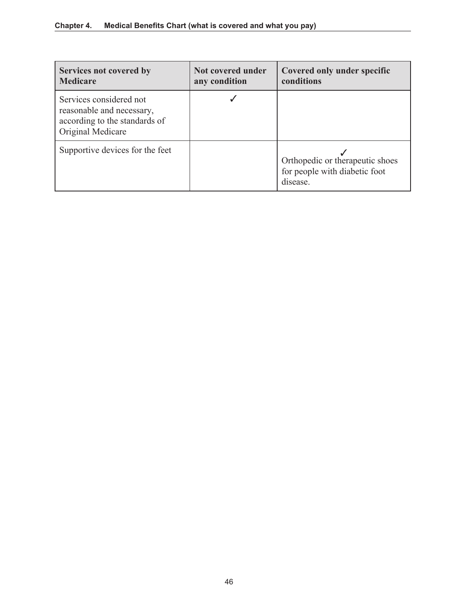| Services not covered by<br><b>Medicare</b>                                                                 | Not covered under<br>any condition | <b>Covered only under specific</b><br>conditions                             |
|------------------------------------------------------------------------------------------------------------|------------------------------------|------------------------------------------------------------------------------|
| Services considered not<br>reasonable and necessary,<br>according to the standards of<br>Original Medicare |                                    |                                                                              |
| Supportive devices for the feet                                                                            |                                    | Orthopedic or therapeutic shoes<br>for people with diabetic foot<br>disease. |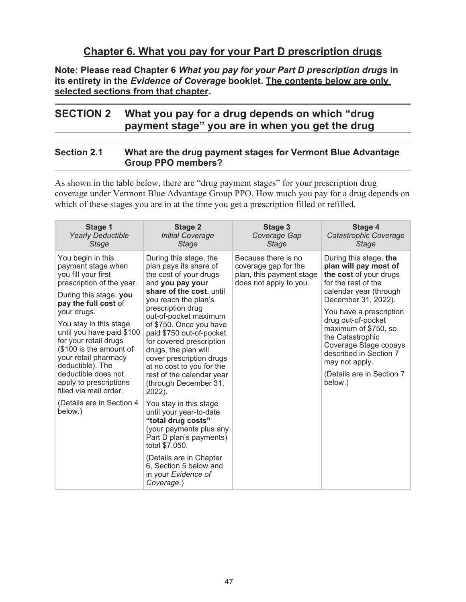## **Chapter 6. What you pay for your Part D prescription drugs**

**Note: Please read Chapter 6** *What you pay for your Part D prescription drugs* **in its entirety in the** *Evidence of Coverage* **booklet. The contents below are only selected sections from that chapter.** 

# **SECTION 2 What you pay for a drug depends on which "drug payment stage" you are in when you get the drug**

### **Section 2.1 What are the drug payment stages for Vermont Blue Advantage Group PPO members?**

As shown in the table below, there are "drug payment stages" for your prescription drug coverage under Vermont Blue Advantage Group PPO. How much you pay for a drug depends on which of these stages you are in at the time you get a prescription filled or refilled.

| Stage 1<br><b>Yearly Deductible</b><br><b>Stage</b>                                                                                                                                                                                                                                                                                                                                            | <b>Stage 2</b><br><b>Initial Coverage</b><br><b>Stage</b>                                                                                                                                                                                                                                                                                                                                                                            | Stage 3<br>Coverage Gap<br><b>Stage</b>                                                           | Stage 4<br>Catastrophic Coverage<br><b>Stage</b>                                                                                                                                                                                                                                                                                                            |
|------------------------------------------------------------------------------------------------------------------------------------------------------------------------------------------------------------------------------------------------------------------------------------------------------------------------------------------------------------------------------------------------|--------------------------------------------------------------------------------------------------------------------------------------------------------------------------------------------------------------------------------------------------------------------------------------------------------------------------------------------------------------------------------------------------------------------------------------|---------------------------------------------------------------------------------------------------|-------------------------------------------------------------------------------------------------------------------------------------------------------------------------------------------------------------------------------------------------------------------------------------------------------------------------------------------------------------|
| You begin in this<br>payment stage when<br>you fill your first<br>prescription of the year.<br>During this stage, you<br>pay the full cost of<br>your drugs.<br>You stay in this stage<br>until you have paid \$100<br>for your retail drugs<br>(\$100 is the amount of<br>your retail pharmacy<br>deductible). The<br>deductible does not<br>apply to prescriptions<br>filled via mail order. | During this stage, the<br>plan pays its share of<br>the cost of your drugs<br>and you pay your<br>share of the cost, until<br>you reach the plan's<br>prescription drug<br>out-of-pocket maximum<br>of \$750. Once you have<br>paid \$750 out-of-pocket<br>for covered prescription<br>drugs, the plan will<br>cover prescription drugs<br>at no cost to you for the<br>rest of the calendar year<br>(through December 31,<br>2022). | Because there is no<br>coverage gap for the<br>plan, this payment stage<br>does not apply to you. | During this stage, the<br>plan will pay most of<br>the cost of your drugs<br>for the rest of the<br>calendar year (through<br>December 31, 2022).<br>You have a prescription<br>drug out-of-pocket<br>maximum of \$750, so<br>the Catastrophic<br>Coverage Stage copays<br>described in Section 7<br>may not apply.<br>(Details are in Section 7<br>below.) |
| (Details are in Section 4<br>below.)                                                                                                                                                                                                                                                                                                                                                           | You stay in this stage<br>until your year-to-date<br>"total drug costs"<br>(your payments plus any<br>Part D plan's payments)<br>total \$7,050.<br>(Details are in Chapter<br>6. Section 5 below and<br>in your Evidence of<br>Coverage.)                                                                                                                                                                                            |                                                                                                   |                                                                                                                                                                                                                                                                                                                                                             |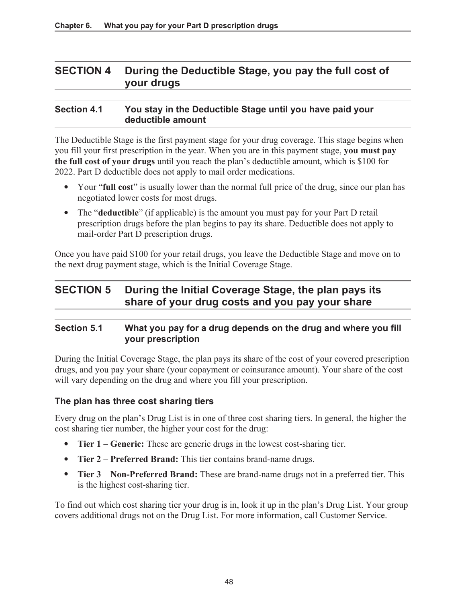## **SECTION 4 During the Deductible Stage, you pay the full cost of your drugs**

## **Section 4.1 You stay in the Deductible Stage until you have paid your deductible amount**

The Deductible Stage is the first payment stage for your drug coverage. This stage begins when you fill your first prescription in the year. When you are in this payment stage, **you must pay the full cost of your drugs** until you reach the plan's deductible amount, which is \$100 for 2022. Part D deductible does not apply to mail order medications.

- Your "**full cost**" is usually lower than the normal full price of the drug, since our plan has negotiated lower costs for most drugs.
- The "**deductible**" (if applicable) is the amount you must pay for your Part D retail prescription drugs before the plan begins to pay its share. Deductible does not apply to mail-order Part D prescription drugs.

Once you have paid \$100 for your retail drugs, you leave the Deductible Stage and move on to the next drug payment stage, which is the Initial Coverage Stage.

# **SECTION 5 During the Initial Coverage Stage, the plan pays its share of your drug costs and you pay your share**

## **Section 5.1 What you pay for a drug depends on the drug and where you fill your prescription**

During the Initial Coverage Stage, the plan pays its share of the cost of your covered prescription drugs, and you pay your share (your copayment or coinsurance amount). Your share of the cost will vary depending on the drug and where you fill your prescription.

### **The plan has three cost sharing tiers**

Every drug on the plan's Drug List is in one of three cost sharing tiers. In general, the higher the cost sharing tier number, the higher your cost for the drug:

- **Tier 1 Generic:** These are generic drugs in the lowest cost-sharing tier.
- **Tier 2 Preferred Brand:** This tier contains brand-name drugs.
- **Tier 3 Non-Preferred Brand:** These are brand-name drugs not in a preferred tier. This is the highest cost-sharing tier.

To find out which cost sharing tier your drug is in, look it up in the plan's Drug List. Your group covers additional drugs not on the Drug List. For more information, call Customer Service.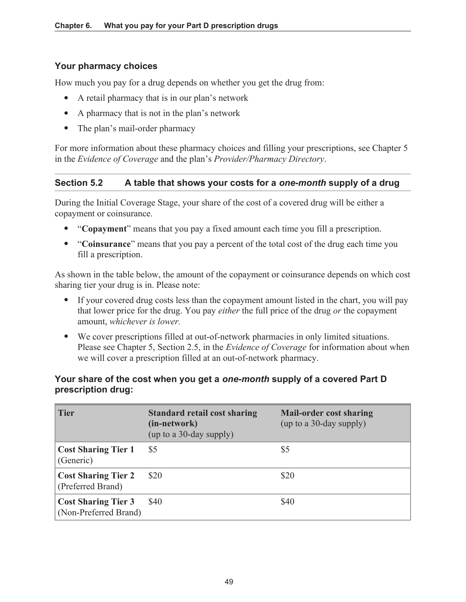### **Your pharmacy choices**

How much you pay for a drug depends on whether you get the drug from:

- A retail pharmacy that is in our plan's network
- A pharmacy that is not in the plan's network
- The plan's mail-order pharmacy

For more information about these pharmacy choices and filling your prescriptions, see Chapter 5 in the *Evidence of Coverage* and the plan's *Provider/Pharmacy Directory*.

## **Section 5.2 A table that shows your costs for a** *one-month* **supply of a drug**

During the Initial Coverage Stage, your share of the cost of a covered drug will be either a copayment or coinsurance.

- "**Copayment**" means that you pay a fixed amount each time you fill a prescription.
- "**Coinsurance**" means that you pay a percent of the total cost of the drug each time you fill a prescription.

As shown in the table below, the amount of the copayment or coinsurance depends on which cost sharing tier your drug is in. Please note:

- If your covered drug costs less than the copayment amount listed in the chart, you will pay that lower price for the drug. You pay *either* the full price of the drug *or* the copayment amount, *whichever is lower.*
- We cover prescriptions filled at out-of-network pharmacies in only limited situations. Please see Chapter 5, Section 2.5, in the *Evidence of Coverage* for information about when we will cover a prescription filled at an out-of-network pharmacy.

### **Your share of the cost when you get a** *one-month* **supply of a covered Part D prescription drug:**

| <b>Tier</b>                                         | <b>Standard retail cost sharing</b><br>(in-network)<br>(up to a 30-day supply) | <b>Mail-order cost sharing</b><br>(up to a 30-day supply) |
|-----------------------------------------------------|--------------------------------------------------------------------------------|-----------------------------------------------------------|
| <b>Cost Sharing Tier 1</b><br>(Generic)             | \$5                                                                            | \$5                                                       |
| <b>Cost Sharing Tier 2</b><br>(Preferred Brand)     | \$20                                                                           | \$20                                                      |
| <b>Cost Sharing Tier 3</b><br>(Non-Preferred Brand) | \$40                                                                           | \$40                                                      |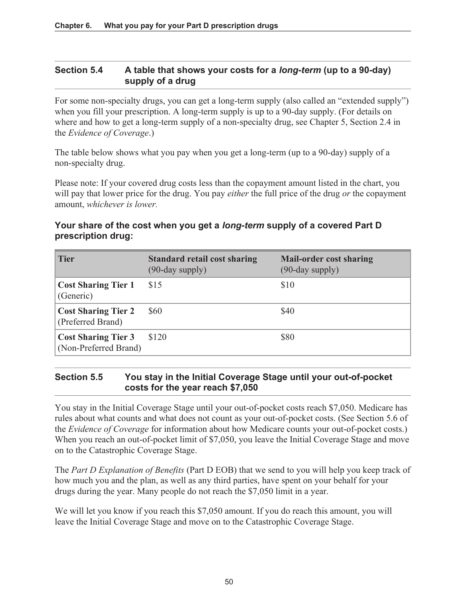## **Section 5.4 A table that shows your costs for a** *long-term* **(up to a 90-day) supply of a drug**

For some non-specialty drugs, you can get a long-term supply (also called an "extended supply") when you fill your prescription. A long-term supply is up to a 90-day supply. (For details on where and how to get a long-term supply of a non-specialty drug, see Chapter 5, Section 2.4 in the *Evidence of Coverage*.)

The table below shows what you pay when you get a long-term (up to a 90-day) supply of a non-specialty drug.

Please note: If your covered drug costs less than the copayment amount listed in the chart, you will pay that lower price for the drug. You pay *either* the full price of the drug *or* the copayment amount, *whichever is lower.* 

### **Your share of the cost when you get a** *long-term* **supply of a covered Part D prescription drug:**

| <b>Tier</b>                                         | <b>Standard retail cost sharing</b><br>$(90$ -day supply) | <b>Mail-order cost sharing</b><br>$(90$ -day supply) |
|-----------------------------------------------------|-----------------------------------------------------------|------------------------------------------------------|
| <b>Cost Sharing Tier 1</b><br>(Generic)             | \$15                                                      | \$10                                                 |
| <b>Cost Sharing Tier 2</b><br>(Preferred Brand)     | \$60                                                      | \$40                                                 |
| <b>Cost Sharing Tier 3</b><br>(Non-Preferred Brand) | \$120                                                     | \$80                                                 |

## **Section 5.5 You stay in the Initial Coverage Stage until your out-of-pocket costs for the year reach \$7,050**

You stay in the Initial Coverage Stage until your out-of-pocket costs reach \$7,050. Medicare has rules about what counts and what does not count as your out-of-pocket costs. (See Section 5.6 of the *Evidence of Coverage* for information about how Medicare counts your out-of-pocket costs.) When you reach an out-of-pocket limit of \$7,050, you leave the Initial Coverage Stage and move on to the Catastrophic Coverage Stage.

The *Part D Explanation of Benefits* (Part D EOB) that we send to you will help you keep track of how much you and the plan, as well as any third parties, have spent on your behalf for your drugs during the year. Many people do not reach the \$7,050 limit in a year.

We will let you know if you reach this \$7,050 amount. If you do reach this amount, you will leave the Initial Coverage Stage and move on to the Catastrophic Coverage Stage.